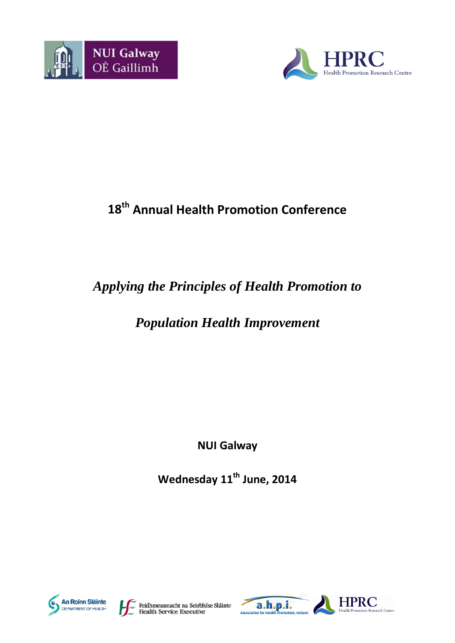



# **18th Annual Health Promotion Conference**

# *Applying the Principles of Health Promotion to*

# *Population Health Improvement*

**NUI Galway**

**Wednesday 11th June, 2014**





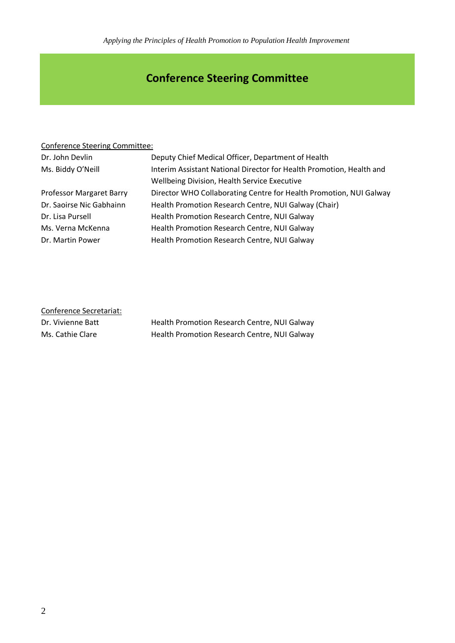*Applying the Principles of Health Promotion to Population Health Improvement*

# **Conference Steering Committee**

### Conference Steering Committee:

| Dr. John Devlin                 | Deputy Chief Medical Officer, Department of Health                   |
|---------------------------------|----------------------------------------------------------------------|
| Ms. Biddy O'Neill               | Interim Assistant National Director for Health Promotion, Health and |
|                                 | Wellbeing Division, Health Service Executive                         |
| <b>Professor Margaret Barry</b> | Director WHO Collaborating Centre for Health Promotion, NUI Galway   |
| Dr. Saoirse Nic Gabhainn        | Health Promotion Research Centre, NUI Galway (Chair)                 |
| Dr. Lisa Pursell                | Health Promotion Research Centre, NUI Galway                         |
| Ms. Verna McKenna               | Health Promotion Research Centre, NUI Galway                         |
| Dr. Martin Power                | Health Promotion Research Centre, NUI Galway                         |
|                                 |                                                                      |

| Conference Secretariat: |                                              |
|-------------------------|----------------------------------------------|
| Dr. Vivienne Batt       | Health Promotion Research Centre, NUI Galway |
| Ms. Cathie Clare        | Health Promotion Research Centre, NUI Galway |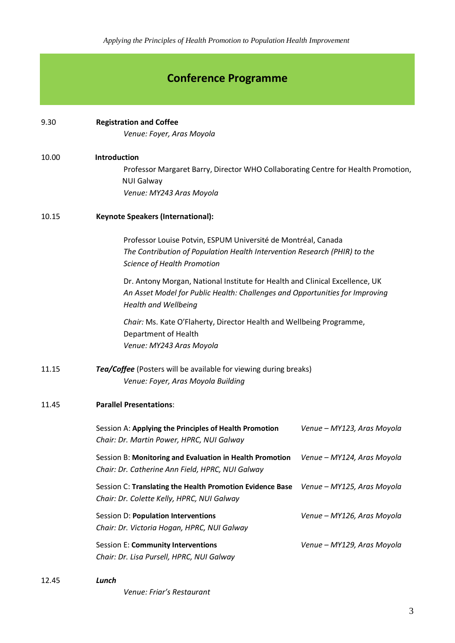### **Conference Programme**

### 9.30 **Registration and Coffee**

*Venue: Foyer, Aras Moyola*

### 10.00 **Introduction**

Professor Margaret Barry, Director WHO Collaborating Centre for Health Promotion, NUI Galway *Venue: MY243 Aras Moyola*

### 10.15 **Keynote Speakers (International):**

Professor Louise Potvin, ESPUM Université de Montréal, Canada *The Contribution of Population Health Intervention Research (PHIR) to the Science of Health Promotion*

Dr. Antony Morgan, National Institute for Health and Clinical Excellence, UK *An Asset Model for Public Health: Challenges and Opportunities for Improving Health and Wellbeing* 

*Chair:* Ms. Kate O'Flaherty, Director Health and Wellbeing Programme, Department of Health *Venue: MY243 Aras Moyola*

### 11.15 *Tea/Coffee* (Posters will be available for viewing during breaks) *Venue: Foyer, Aras Moyola Building*

### 11.45 **Parallel Presentations**:

| Session A: Applying the Principles of Health Promotion<br>Chair: Dr. Martin Power, HPRC, NUI Galway          | Venue – MY123, Aras Moyola |
|--------------------------------------------------------------------------------------------------------------|----------------------------|
| Session B: Monitoring and Evaluation in Health Promotion<br>Chair: Dr. Catherine Ann Field, HPRC, NUI Galway | Venue – MY124, Aras Moyola |
| Session C: Translating the Health Promotion Evidence Base<br>Chair: Dr. Colette Kelly, HPRC, NUI Galway      | Venue – MY125, Aras Moyola |
| Session D: Population Interventions<br>Chair: Dr. Victoria Hogan, HPRC, NUI Galway                           | Venue – MY126, Aras Moyola |
| Session E: Community Interventions<br>Chair: Dr. Lisa Pursell, HPRC, NUI Galway                              | Venue – MY129, Aras Moyola |

### 12.45 *Lunch*

*Venue: Friar's Restaurant*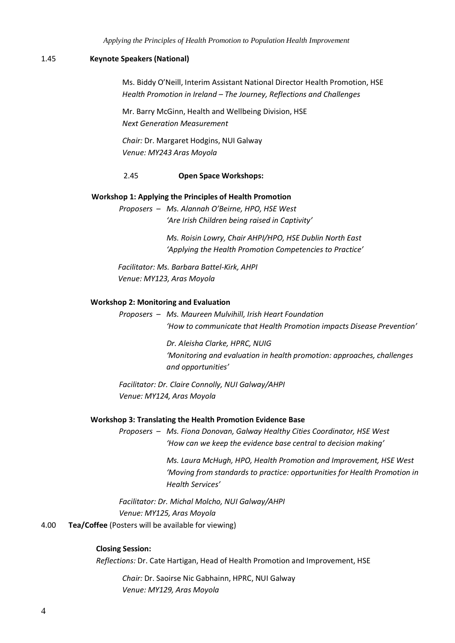### 1.45 **Keynote Speakers (National)**

Ms. Biddy O'Neill, Interim Assistant National Director Health Promotion, HSE *Health Promotion in Ireland – The Journey, Reflections and Challenges*

Mr. Barry McGinn, Health and Wellbeing Division, HSE *Next Generation Measurement*

*Chair:* Dr. Margaret Hodgins, NUI Galway *Venue: MY243 Aras Moyola*

### 2.45 **Open Space Workshops:**

### **Workshop 1: Applying the Principles of Health Promotion**

*Proposers – Ms. Alannah O'Beirne, HPO, HSE West 'Are Irish Children being raised in Captivity'*

> *Ms. Roisin Lowry, Chair AHPI/HPO, HSE Dublin North East 'Applying the Health Promotion Competencies to Practice'*

*Facilitator: Ms. Barbara Battel-Kirk, AHPI Venue: MY123, Aras Moyola*

#### **Workshop 2: Monitoring and Evaluation**

*Proposers – Ms. Maureen Mulvihill, Irish Heart Foundation 'How to communicate that Health Promotion impacts Disease Prevention'*

> *Dr. Aleisha Clarke, HPRC, NUIG 'Monitoring and evaluation in health promotion: approaches, challenges and opportunities'*

*Facilitator: Dr. Claire Connolly, NUI Galway/AHPI Venue: MY124, Aras Moyola*

#### **Workshop 3: Translating the Health Promotion Evidence Base**

*Proposers – Ms. Fiona Donovan, Galway Healthy Cities Coordinator, HSE West 'How can we keep the evidence base central to decision making'*

> *Ms. Laura McHugh, HPO, Health Promotion and Improvement, HSE West 'Moving from standards to practice: opportunities for Health Promotion in Health Services'*

*Facilitator: Dr. Michal Molcho, NUI Galway/AHPI Venue: MY125, Aras Moyola*

### 4.00 **Tea/Coffee** (Posters will be available for viewing)

### **Closing Session:**

*Reflections:* Dr. Cate Hartigan, Head of Health Promotion and Improvement, HSE

*Chair:* Dr. Saoirse Nic Gabhainn, HPRC, NUI Galway *Venue: MY129, Aras Moyola*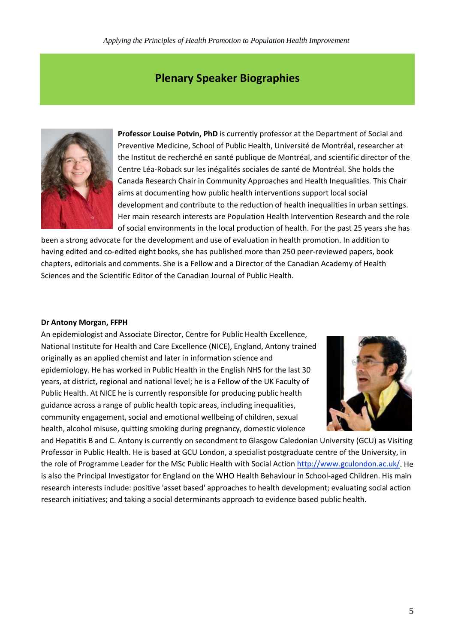### **Plenary Speaker Biographies**



**Professor Louise Potvin, PhD** is currently professor at the Department of Social and Preventive Medicine, School of Public Health, Université de Montréal, researcher at the Institut de recherché en santé publique de Montréal, and scientific director of the Centre Léa-Roback sur les inégalités sociales de santé de Montréal. She holds the Canada Research Chair in Community Approaches and Health Inequalities. This Chair aims at documenting how public health interventions support local social development and contribute to the reduction of health inequalities in urban settings. Her main research interests are Population Health Intervention Research and the role of social environments in the local production of health. For the past 25 years she has

been a strong advocate for the development and use of evaluation in health promotion. In addition to having edited and co-edited eight books, she has published more than 250 peer-reviewed papers, book chapters, editorials and comments. She is a Fellow and a Director of the Canadian Academy of Health Sciences and the Scientific Editor of the Canadian Journal of Public Health.

### **Dr Antony Morgan, FFPH**

An epidemiologist and Associate Director, Centre for Public Health Excellence, National Institute for Health and Care Excellence (NICE), England, Antony trained originally as an applied chemist and later in information science and epidemiology. He has worked in Public Health in the English NHS for the last 30 years, at district, regional and national level; he is a Fellow of the UK Faculty of Public Health. At NICE he is currently responsible for producing public health guidance across a range of public health topic areas, including inequalities, community engagement, social and emotional wellbeing of children, sexual health, alcohol misuse, quitting smoking during pregnancy, domestic violence



and Hepatitis B and C. Antony is currently on secondment to Glasgow Caledonian University (GCU) as Visiting Professor in Public Health. He is based at GCU London, a specialist postgraduate centre of the University, in the role of Programme Leader for the MSc Public Health with Social Action [http://www.gculondon.ac.uk/.](http://www.gculondon.ac.uk/) He is also the Principal Investigator for England on the WHO Health Behaviour in School-aged Children. His main research interests include: positive 'asset based' approaches to health development; evaluating social action research initiatives; and taking a social determinants approach to evidence based public health.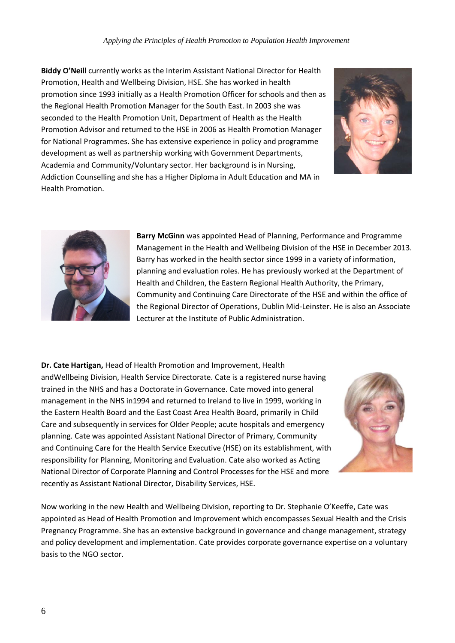**Biddy O'Neill** currently works as the Interim Assistant National Director for Health Promotion, Health and Wellbeing Division, HSE. She has worked in health promotion since 1993 initially as a Health Promotion Officer for schools and then as the Regional Health Promotion Manager for the South East. In 2003 she was seconded to the Health Promotion Unit, Department of Health as the Health Promotion Advisor and returned to the HSE in 2006 as Health Promotion Manager for National Programmes. She has extensive experience in policy and programme development as well as partnership working with Government Departments, Academia and Community/Voluntary sector. Her background is in Nursing, Addiction Counselling and she has a Higher Diploma in Adult Education and MA in Health Promotion.





**Barry McGinn** was appointed Head of Planning, Performance and Programme Management in the Health and Wellbeing Division of the HSE in December 2013. Barry has worked in the health sector since 1999 in a variety of information, planning and evaluation roles. He has previously worked at the Department of Health and Children, the Eastern Regional Health Authority, the Primary, Community and Continuing Care Directorate of the HSE and within the office of the Regional Director of Operations, Dublin Mid-Leinster. He is also an Associate Lecturer at the Institute of Public Administration.

**Dr. Cate Hartigan,** Head of Health Promotion and Improvement, Health andWellbeing Division, Health Service Directorate. Cate is a registered nurse having trained in the NHS and has a Doctorate in Governance. Cate moved into general management in the NHS in1994 and returned to Ireland to live in 1999, working in the Eastern Health Board and the East Coast Area Health Board, primarily in Child Care and subsequently in services for Older People; acute hospitals and emergency planning. Cate was appointed Assistant National Director of Primary, Community and Continuing Care for the Health Service Executive (HSE) on its establishment, with responsibility for Planning, Monitoring and Evaluation. Cate also worked as Acting National Director of Corporate Planning and Control Processes for the HSE and more recently as Assistant National Director, Disability Services, HSE.



Now working in the new Health and Wellbeing Division, reporting to Dr. Stephanie O'Keeffe, Cate was appointed as Head of Health Promotion and Improvement which encompasses Sexual Health and the Crisis Pregnancy Programme. She has an extensive background in governance and change management, strategy and policy development and implementation. Cate provides corporate governance expertise on a voluntary basis to the NGO sector.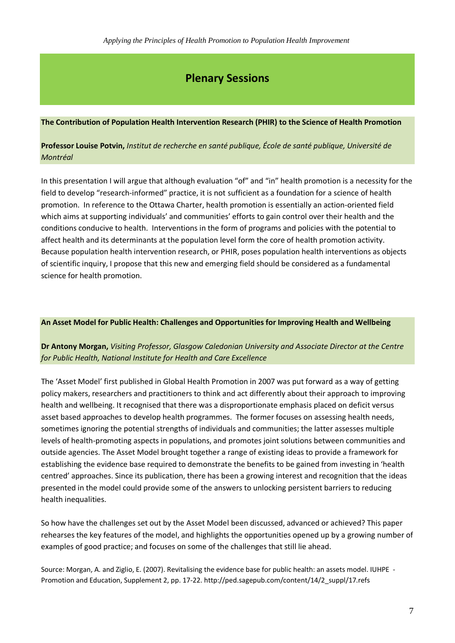### **Plenary Sessions**

### **The Contribution of Population Health Intervention Research (PHIR) to the Science of Health Promotion**

### **Professor Louise Potvin,** *Institut de recherche en santé publique, École de santé publique, Université de Montréal*

In this presentation I will argue that although evaluation "of" and "in" health promotion is a necessity for the field to develop "research-informed" practice, it is not sufficient as a foundation for a science of health promotion. In reference to the Ottawa Charter, health promotion is essentially an action-oriented field which aims at supporting individuals' and communities' efforts to gain control over their health and the conditions conducive to health. Interventions in the form of programs and policies with the potential to affect health and its determinants at the population level form the core of health promotion activity. Because population health intervention research, or PHIR, poses population health interventions as objects of scientific inquiry, I propose that this new and emerging field should be considered as a fundamental science for health promotion.

### **An Asset Model for Public Health: Challenges and Opportunities for Improving Health and Wellbeing**

### **Dr Antony Morgan,** *Visiting Professor, Glasgow Caledonian University and Associate Director at the Centre for Public Health, National Institute for Health and Care Excellence*

The 'Asset Model' first published in Global Health Promotion in 2007 was put forward as a way of getting policy makers, researchers and practitioners to think and act differently about their approach to improving health and wellbeing. It recognised that there was a disproportionate emphasis placed on deficit versus asset based approaches to develop health programmes. The former focuses on assessing health needs, sometimes ignoring the potential strengths of individuals and communities; the latter assesses multiple levels of health-promoting aspects in populations, and promotes joint solutions between communities and outside agencies. The Asset Model brought together a range of existing ideas to provide a framework for establishing the evidence base required to demonstrate the benefits to be gained from investing in 'health centred' approaches. Since its publication, there has been a growing interest and recognition that the ideas presented in the model could provide some of the answers to unlocking persistent barriers to reducing health inequalities.

So how have the challenges set out by the Asset Model been discussed, advanced or achieved? This paper rehearses the key features of the model, and highlights the opportunities opened up by a growing number of examples of good practice; and focuses on some of the challenges that still lie ahead.

Source: Morgan, A. and Ziglio, E. (2007). Revitalising the evidence base for public health: an assets model. IUHPE - Promotion and Education, Supplement 2, pp. 17-22. [http://ped.sagepub.com/content/14/2\\_suppl/17.refs](http://ped.sagepub.com/content/14/2_suppl/17.refs)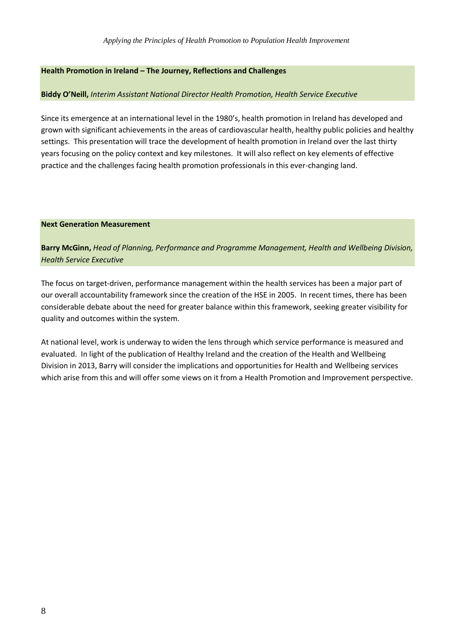### **Health Promotion in Ireland – The Journey, Reflections and Challenges**

### **Biddy O'Neill,** *Interim Assistant National Director Health Promotion, Health Service Executive*

Since its emergence at an international level in the 1980's, health promotion in Ireland has developed and grown with significant achievements in the areas of cardiovascular health, healthy public policies and healthy settings. This presentation will trace the development of health promotion in Ireland over the last thirty years focusing on the policy context and key milestones. It will also reflect on key elements of effective practice and the challenges facing health promotion professionals in this ever-changing land.

### **Next Generation Measurement**

**Barry McGinn,** *Head of Planning, Performance and Programme Management, Health and Wellbeing Division, Health Service Executive*

The focus on target-driven, performance management within the health services has been a major part of our overall accountability framework since the creation of the HSE in 2005. In recent times, there has been considerable debate about the need for greater balance within this framework, seeking greater visibility for quality and outcomes within the system.

At national level, work is underway to widen the lens through which service performance is measured and evaluated. In light of the publication of Healthy Ireland and the creation of the Health and Wellbeing Division in 2013, Barry will consider the implications and opportunities for Health and Wellbeing services which arise from this and will offer some views on it from a Health Promotion and Improvement perspective.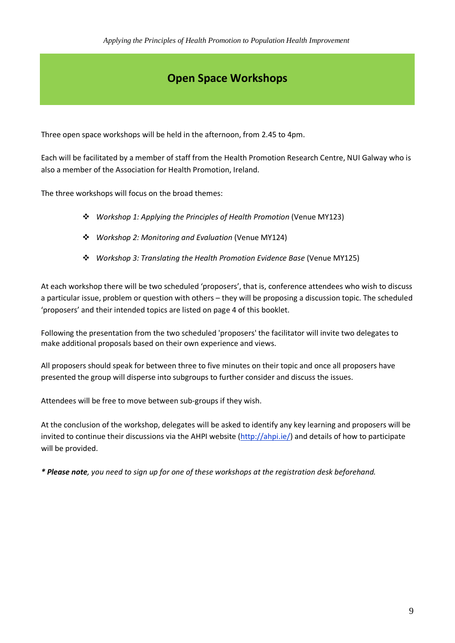## **Open Space Workshops**

Three open space workshops will be held in the afternoon, from 2.45 to 4pm.

Each will be facilitated by a member of staff from the Health Promotion Research Centre, NUI Galway who is also a member of the Association for Health Promotion, Ireland.

The three workshops will focus on the broad themes:

- *Workshop 1: Applying the Principles of Health Promotion* (Venue MY123)
- *Workshop 2: Monitoring and Evaluation* (Venue MY124)
- *Workshop 3: Translating the Health Promotion Evidence Base* (Venue MY125)

At each workshop there will be two scheduled 'proposers', that is, conference attendees who wish to discuss a particular issue, problem or question with others – they will be proposing a discussion topic. The scheduled 'proposers' and their intended topics are listed on page 4 of this booklet.

Following the presentation from the two scheduled 'proposers' the facilitator will invite two delegates to make additional proposals based on their own experience and views.

All proposers should speak for between three to five minutes on their topic and once all proposers have presented the group will disperse into subgroups to further consider and discuss the issues.

Attendees will be free to move between sub-groups if they wish.

At the conclusion of the workshop, delegates will be asked to identify any key learning and proposers will be invited to continue their discussions via the AHPI website [\(http://ahpi.ie/\)](http://ahpi.ie/) and details of how to participate will be provided.

*\* Please note, you need to sign up for one of these workshops at the registration desk beforehand.*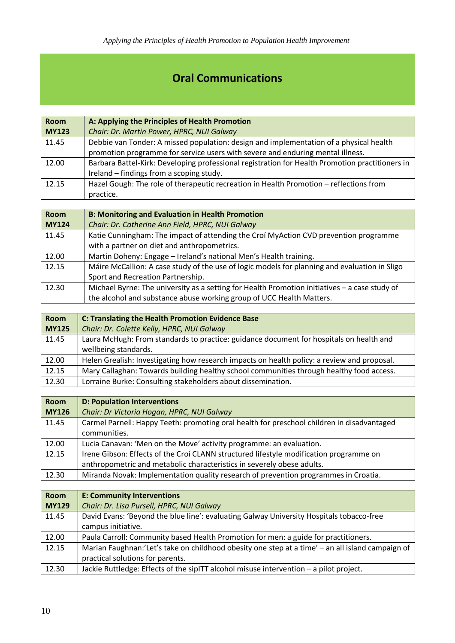# **Oral Communications**

| <b>Room</b>  | A: Applying the Principles of Health Promotion                                                  |  |
|--------------|-------------------------------------------------------------------------------------------------|--|
| <b>MY123</b> | Chair: Dr. Martin Power, HPRC, NUI Galway                                                       |  |
| 11.45        | Debbie van Tonder: A missed population: design and implementation of a physical health          |  |
|              | promotion programme for service users with severe and enduring mental illness.                  |  |
| 12.00        | Barbara Battel-Kirk: Developing professional registration for Health Promotion practitioners in |  |
|              | Ireland - findings from a scoping study.                                                        |  |
| 12.15        | Hazel Gough: The role of therapeutic recreation in Health Promotion - reflections from          |  |
|              | practice.                                                                                       |  |

| <b>Room</b>  | <b>B: Monitoring and Evaluation in Health Promotion</b>                                       |  |
|--------------|-----------------------------------------------------------------------------------------------|--|
| <b>MY124</b> | Chair: Dr. Catherine Ann Field, HPRC, NUI Galway                                              |  |
| 11.45        | Katie Cunningham: The impact of attending the Croí MyAction CVD prevention programme          |  |
|              | with a partner on diet and anthropometrics.                                                   |  |
| 12.00        | Martin Doheny: Engage - Ireland's national Men's Health training.                             |  |
| 12.15        | Máire McCallion: A case study of the use of logic models for planning and evaluation in Sligo |  |
|              | Sport and Recreation Partnership.                                                             |  |
| 12.30        | Michael Byrne: The university as a setting for Health Promotion initiatives - a case study of |  |
|              | the alcohol and substance abuse working group of UCC Health Matters.                          |  |

| <b>Room</b>  | <b>C: Translating the Health Promotion Evidence Base</b>                                    |
|--------------|---------------------------------------------------------------------------------------------|
| <b>MY125</b> | Chair: Dr. Colette Kelly, HPRC, NUI Galway                                                  |
| 11.45        | Laura McHugh: From standards to practice: guidance document for hospitals on health and     |
|              | wellbeing standards.                                                                        |
| 12.00        | Helen Grealish: Investigating how research impacts on health policy: a review and proposal. |
| 12.15        | Mary Callaghan: Towards building healthy school communities through healthy food access.    |
| 12.30        | Lorraine Burke: Consulting stakeholders about dissemination.                                |

| <b>Room</b>  | <b>D: Population Interventions</b>                                                         |
|--------------|--------------------------------------------------------------------------------------------|
| <b>MY126</b> | Chair: Dr Victoria Hogan, HPRC, NUI Galway                                                 |
| 11.45        | Carmel Parnell: Happy Teeth: promoting oral health for preschool children in disadvantaged |
|              | communities.                                                                               |
| 12.00        | Lucia Canavan: 'Men on the Move' activity programme: an evaluation.                        |
| 12.15        | Irene Gibson: Effects of the Croí CLANN structured lifestyle modification programme on     |
|              | anthropometric and metabolic characteristics in severely obese adults.                     |
| 12.30        | Miranda Novak: Implementation quality research of prevention programmes in Croatia.        |

| <b>Room</b>  | <b>E: Community Interventions</b>                                                                |
|--------------|--------------------------------------------------------------------------------------------------|
| <b>MY129</b> | Chair: Dr. Lisa Pursell, HPRC, NUI Galway                                                        |
| 11.45        | David Evans: 'Beyond the blue line': evaluating Galway University Hospitals tobacco-free         |
|              | campus initiative.                                                                               |
| 12.00        | Paula Carroll: Community based Health Promotion for men: a guide for practitioners.              |
| 12.15        | Marian Faughnan:'Let's take on childhood obesity one step at a time' - an all island campaign of |
|              | practical solutions for parents.                                                                 |
| 12.30        | Jackie Ruttledge: Effects of the sipITT alcohol misuse intervention - a pilot project.           |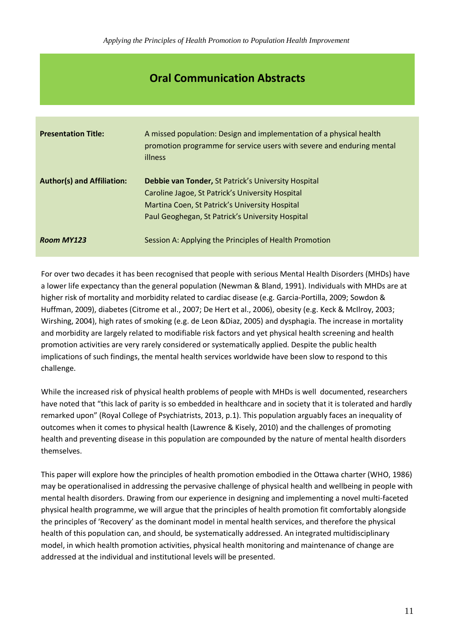## **Oral Communication Abstracts**

| <b>Presentation Title:</b>        | A missed population: Design and implementation of a physical health<br>promotion programme for service users with severe and enduring mental<br>illness                                                       |
|-----------------------------------|---------------------------------------------------------------------------------------------------------------------------------------------------------------------------------------------------------------|
| <b>Author(s) and Affiliation:</b> | Debbie van Tonder, St Patrick's University Hospital<br>Caroline Jagoe, St Patrick's University Hospital<br>Martina Coen, St Patrick's University Hospital<br>Paul Geoghegan, St Patrick's University Hospital |
| Room MY123                        | Session A: Applying the Principles of Health Promotion                                                                                                                                                        |

For over two decades it has been recognised that people with serious Mental Health Disorders (MHDs) have a lower life expectancy than the general population (Newman & Bland, 1991). Individuals with MHDs are at higher risk of mortality and morbidity related to cardiac disease (e.g. Garcia-Portilla, 2009; Sowdon & Huffman, 2009), diabetes (Citrome et al., 2007; De Hert et al., 2006), obesity (e.g. Keck & McIlroy, 2003; Wirshing, 2004), high rates of smoking (e.g. de Leon &Diaz, 2005) and dysphagia. The increase in mortality and morbidity are largely related to modifiable risk factors and yet physical health screening and health promotion activities are very rarely considered or systematically applied. Despite the public health implications of such findings, the mental health services worldwide have been slow to respond to this challenge.

While the increased risk of physical health problems of people with MHDs is well documented, researchers have noted that "this lack of parity is so embedded in healthcare and in society that it is tolerated and hardly remarked upon" (Royal College of Psychiatrists, 2013, p.1). This population arguably faces an inequality of outcomes when it comes to physical health (Lawrence & Kisely, 2010) and the challenges of promoting health and preventing disease in this population are compounded by the nature of mental health disorders themselves.

This paper will explore how the principles of health promotion embodied in the Ottawa charter (WHO, 1986) may be operationalised in addressing the pervasive challenge of physical health and wellbeing in people with mental health disorders. Drawing from our experience in designing and implementing a novel multi-faceted physical health programme, we will argue that the principles of health promotion fit comfortably alongside the principles of 'Recovery' as the dominant model in mental health services, and therefore the physical health of this population can, and should, be systematically addressed. An integrated multidisciplinary model, in which health promotion activities, physical health monitoring and maintenance of change are addressed at the individual and institutional levels will be presented.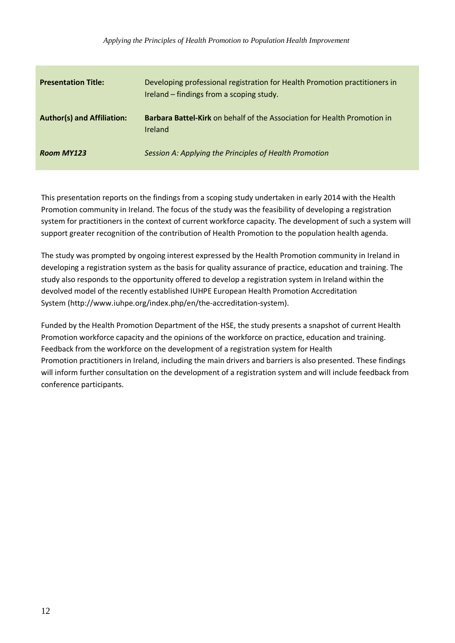| <b>Presentation Title:</b>        | Developing professional registration for Health Promotion practitioners in<br>Ireland - findings from a scoping study. |
|-----------------------------------|------------------------------------------------------------------------------------------------------------------------|
| <b>Author(s) and Affiliation:</b> | <b>Barbara Battel-Kirk</b> on behalf of the Association for Health Promotion in<br>Ireland                             |
| <b>Room MY123</b>                 | Session A: Applying the Principles of Health Promotion                                                                 |

This presentation reports on the findings from a scoping study undertaken in early 2014 with the Health Promotion community in Ireland. The focus of the study was the feasibility of developing a registration system for practitioners in the context of current workforce capacity. The development of such a system will support greater recognition of the contribution of Health Promotion to the population health agenda.

The study was prompted by ongoing interest expressed by the Health Promotion community in Ireland in developing a registration system as the basis for quality assurance of practice, education and training. The study also responds to the opportunity offered to develop a registration system in Ireland within the devolved model of the recently established IUHPE European Health Promotion Accreditation System (http://www.iuhpe.org/index.php/en/the-accreditation-system).

Funded by the Health Promotion Department of the HSE, the study presents a snapshot of current Health Promotion workforce capacity and the opinions of the workforce on practice, education and training. Feedback from the workforce on the development of a registration system for Health Promotion practitioners in Ireland, including the main drivers and barriers is also presented. These findings will inform further consultation on the development of a registration system and will include feedback from conference participants.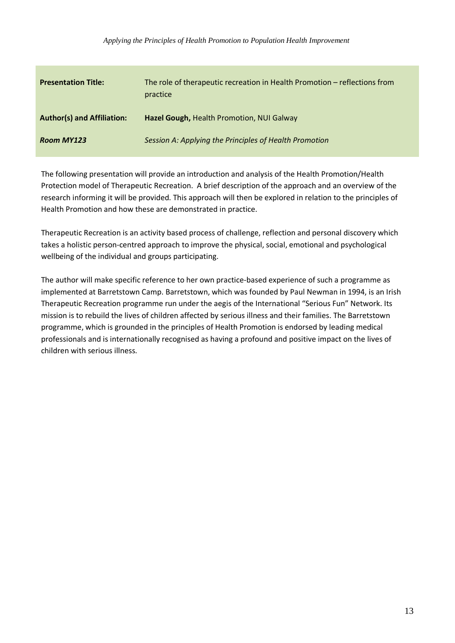*Applying the Principles of Health Promotion to Population Health Improvement*

| <b>Presentation Title:</b>        | The role of therapeutic recreation in Health Promotion - reflections from<br>practice |
|-----------------------------------|---------------------------------------------------------------------------------------|
| <b>Author(s) and Affiliation:</b> | Hazel Gough, Health Promotion, NUI Galway                                             |
| <b>Room MY123</b>                 | Session A: Applying the Principles of Health Promotion                                |

The following presentation will provide an introduction and analysis of the Health Promotion/Health Protection model of Therapeutic Recreation. A brief description of the approach and an overview of the research informing it will be provided. This approach will then be explored in relation to the principles of Health Promotion and how these are demonstrated in practice.

Therapeutic Recreation is an activity based process of challenge, reflection and personal discovery which takes a holistic person-centred approach to improve the physical, social, emotional and psychological wellbeing of the individual and groups participating.

The author will make specific reference to her own practice-based experience of such a programme as implemented at Barretstown Camp. Barretstown, which was founded by Paul Newman in 1994, is an Irish Therapeutic Recreation programme run under the aegis of the International "Serious Fun" Network. Its mission is to rebuild the lives of children affected by serious illness and their families. The Barretstown programme, which is grounded in the principles of Health Promotion is endorsed by leading medical professionals and is internationally recognised as having a profound and positive impact on the lives of children with serious illness.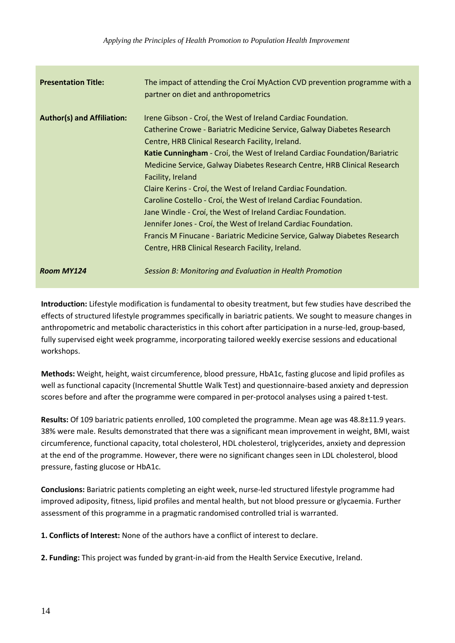| <b>Presentation Title:</b>        | The impact of attending the Croi MyAction CVD prevention programme with a<br>partner on diet and anthropometrics                                                                                                                                                                                                                                                                                                                                                                                                                                                                                                                                                                                                                                                                 |
|-----------------------------------|----------------------------------------------------------------------------------------------------------------------------------------------------------------------------------------------------------------------------------------------------------------------------------------------------------------------------------------------------------------------------------------------------------------------------------------------------------------------------------------------------------------------------------------------------------------------------------------------------------------------------------------------------------------------------------------------------------------------------------------------------------------------------------|
| <b>Author(s) and Affiliation:</b> | Irene Gibson - Croí, the West of Ireland Cardiac Foundation.<br>Catherine Crowe - Bariatric Medicine Service, Galway Diabetes Research<br>Centre, HRB Clinical Research Facility, Ireland.<br>Katie Cunningham - Croí, the West of Ireland Cardiac Foundation/Bariatric<br>Medicine Service, Galway Diabetes Research Centre, HRB Clinical Research<br>Facility, Ireland<br>Claire Kerins - Croí, the West of Ireland Cardiac Foundation.<br>Caroline Costello - Croí, the West of Ireland Cardiac Foundation.<br>Jane Windle - Croi, the West of Ireland Cardiac Foundation.<br>Jennifer Jones - Croi, the West of Ireland Cardiac Foundation.<br>Francis M Finucane - Bariatric Medicine Service, Galway Diabetes Research<br>Centre, HRB Clinical Research Facility, Ireland. |
| <b>Room MY124</b>                 | Session B: Monitoring and Evaluation in Health Promotion                                                                                                                                                                                                                                                                                                                                                                                                                                                                                                                                                                                                                                                                                                                         |

**Introduction:** Lifestyle modification is fundamental to obesity treatment, but few studies have described the effects of structured lifestyle programmes specifically in bariatric patients. We sought to measure changes in anthropometric and metabolic characteristics in this cohort after participation in a nurse-led, group-based, fully supervised eight week programme, incorporating tailored weekly exercise sessions and educational workshops.

**Methods:** Weight, height, waist circumference, blood pressure, HbA1c, fasting glucose and lipid profiles as well as functional capacity (Incremental Shuttle Walk Test) and questionnaire-based anxiety and depression scores before and after the programme were compared in per-protocol analyses using a paired t-test.

**Results:** Of 109 bariatric patients enrolled, 100 completed the programme. Mean age was 48.8±11.9 years. 38% were male. Results demonstrated that there was a significant mean improvement in weight, BMI, waist circumference, functional capacity, total cholesterol, HDL cholesterol, triglycerides, anxiety and depression at the end of the programme. However, there were no significant changes seen in LDL cholesterol, blood pressure, fasting glucose or HbA1c.

**Conclusions:** Bariatric patients completing an eight week, nurse-led structured lifestyle programme had improved adiposity, fitness, lipid profiles and mental health, but not blood pressure or glycaemia. Further assessment of this programme in a pragmatic randomised controlled trial is warranted.

**1. Conflicts of Interest:** None of the authors have a conflict of interest to declare.

**2. Funding:** This project was funded by grant-in-aid from the Health Service Executive, Ireland.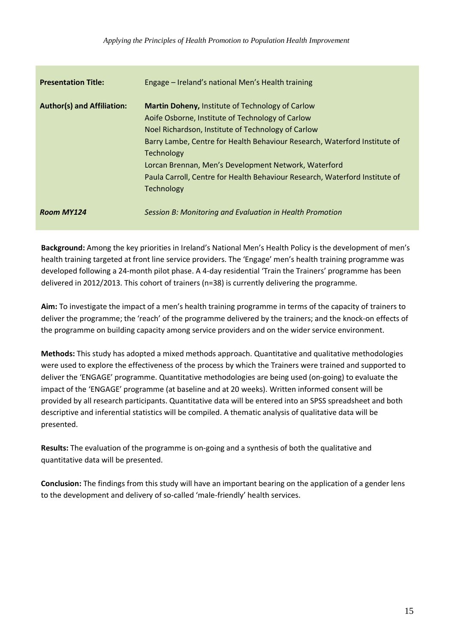| <b>Presentation Title:</b>        | Engage – Ireland's national Men's Health training                                                                                                                                                                                                                                                                                                                                                                        |
|-----------------------------------|--------------------------------------------------------------------------------------------------------------------------------------------------------------------------------------------------------------------------------------------------------------------------------------------------------------------------------------------------------------------------------------------------------------------------|
| <b>Author(s) and Affiliation:</b> | <b>Martin Doheny, Institute of Technology of Carlow</b><br>Aoife Osborne, Institute of Technology of Carlow<br>Noel Richardson, Institute of Technology of Carlow<br>Barry Lambe, Centre for Health Behaviour Research, Waterford Institute of<br>Technology<br>Lorcan Brennan, Men's Development Network, Waterford<br>Paula Carroll, Centre for Health Behaviour Research, Waterford Institute of<br><b>Technology</b> |
| Room MY124                        | Session B: Monitoring and Evaluation in Health Promotion                                                                                                                                                                                                                                                                                                                                                                 |

**Background:** Among the key priorities in Ireland's National Men's Health Policy is the development of men's health training targeted at front line service providers. The 'Engage' men's health training programme was developed following a 24-month pilot phase. A 4-day residential 'Train the Trainers' programme has been delivered in 2012/2013. This cohort of trainers (n=38) is currently delivering the programme.

**Aim:** To investigate the impact of a men's health training programme in terms of the capacity of trainers to deliver the programme; the 'reach' of the programme delivered by the trainers; and the knock-on effects of the programme on building capacity among service providers and on the wider service environment.

**Methods:** This study has adopted a mixed methods approach. Quantitative and qualitative methodologies were used to explore the effectiveness of the process by which the Trainers were trained and supported to deliver the 'ENGAGE' programme. Quantitative methodologies are being used (on-going) to evaluate the impact of the 'ENGAGE' programme (at baseline and at 20 weeks). Written informed consent will be provided by all research participants. Quantitative data will be entered into an SPSS spreadsheet and both descriptive and inferential statistics will be compiled. A thematic analysis of qualitative data will be presented.

**Results:** The evaluation of the programme is on-going and a synthesis of both the qualitative and quantitative data will be presented.

**Conclusion:** The findings from this study will have an important bearing on the application of a gender lens to the development and delivery of so-called 'male-friendly' health services.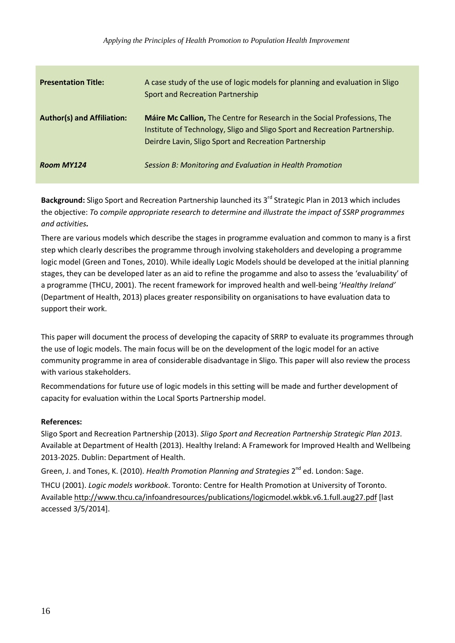| <b>Presentation Title:</b>        | A case study of the use of logic models for planning and evaluation in Sligo<br><b>Sport and Recreation Partnership</b>                                                                                         |
|-----------------------------------|-----------------------------------------------------------------------------------------------------------------------------------------------------------------------------------------------------------------|
| <b>Author(s) and Affiliation:</b> | Máire Mc Callion, The Centre for Research in the Social Professions, The<br>Institute of Technology, Sligo and Sligo Sport and Recreation Partnership.<br>Deirdre Lavin, Sligo Sport and Recreation Partnership |
| <b>Room MY124</b>                 | Session B: Monitoring and Evaluation in Health Promotion                                                                                                                                                        |

Background: Sligo Sport and Recreation Partnership launched its 3<sup>rd</sup> Strategic Plan in 2013 which includes the objective: *T*o *compile appropriate research to determine and illustrate the impact of SSRP programmes and activities.* 

There are various models which describe the stages in programme evaluation and common to many is a first step which clearly describes the programme through involving stakeholders and developing a programme logic model (Green and Tones, 2010). While ideally Logic Models should be developed at the initial planning stages, they can be developed later as an aid to refine the progamme and also to assess the 'evaluability' of a programme (THCU, 2001). The recent framework for improved health and well-being '*Healthy Ireland'*  (Department of Health, 2013) places greater responsibility on organisations to have evaluation data to support their work.

This paper will document the process of developing the capacity of SRRP to evaluate its programmes through the use of logic models. The main focus will be on the development of the logic model for an active community programme in area of considerable disadvantage in Sligo. This paper will also review the process with various stakeholders.

Recommendations for future use of logic models in this setting will be made and further development of capacity for evaluation within the Local Sports Partnership model.

### **References:**

Sligo Sport and Recreation Partnership (2013). *Sligo Sport and Recreation Partnership Strategic Plan 2013*. Available at Department of Health (2013). Healthy Ireland: A Framework for Improved Health and Wellbeing 2013-2025. Dublin: Department of Health.

Green, J. and Tones, K. (2010). *Health Promotion Planning and Strategies* 2<sup>nd</sup> ed. London: Sage. THCU (2001). *Logic models workbook*. Toronto: Centre for Health Promotion at University of Toronto. Available<http://www.thcu.ca/infoandresources/publications/logicmodel.wkbk.v6.1.full.aug27.pdf> [last accessed 3/5/2014].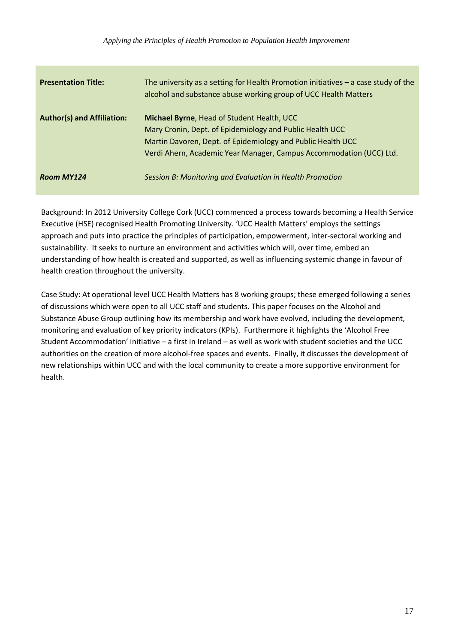| <b>Presentation Title:</b>        | The university as a setting for Health Promotion initiatives $-$ a case study of the<br>alcohol and substance abuse working group of UCC Health Matters                                                                                      |
|-----------------------------------|----------------------------------------------------------------------------------------------------------------------------------------------------------------------------------------------------------------------------------------------|
| <b>Author(s) and Affiliation:</b> | Michael Byrne, Head of Student Health, UCC<br>Mary Cronin, Dept. of Epidemiology and Public Health UCC<br>Martin Davoren, Dept. of Epidemiology and Public Health UCC<br>Verdi Ahern, Academic Year Manager, Campus Accommodation (UCC) Ltd. |
| Room MY124                        | Session B: Monitoring and Evaluation in Health Promotion                                                                                                                                                                                     |

Background: In 2012 University College Cork (UCC) commenced a process towards becoming a Health Service Executive (HSE) recognised Health Promoting University. 'UCC Health Matters' employs the settings approach and puts into practice the principles of participation, empowerment, inter-sectoral working and sustainability. It seeks to nurture an environment and activities which will, over time, embed an understanding of how health is created and supported, as well as influencing systemic change in favour of health creation throughout the university.

Case Study: At operational level UCC Health Matters has 8 working groups; these emerged following a series of discussions which were open to all UCC staff and students. This paper focuses on the Alcohol and Substance Abuse Group outlining how its membership and work have evolved, including the development, monitoring and evaluation of key priority indicators (KPIs). Furthermore it highlights the 'Alcohol Free Student Accommodation' initiative – a first in Ireland – as well as work with student societies and the UCC authorities on the creation of more alcohol-free spaces and events. Finally, it discusses the development of new relationships within UCC and with the local community to create a more supportive environment for health.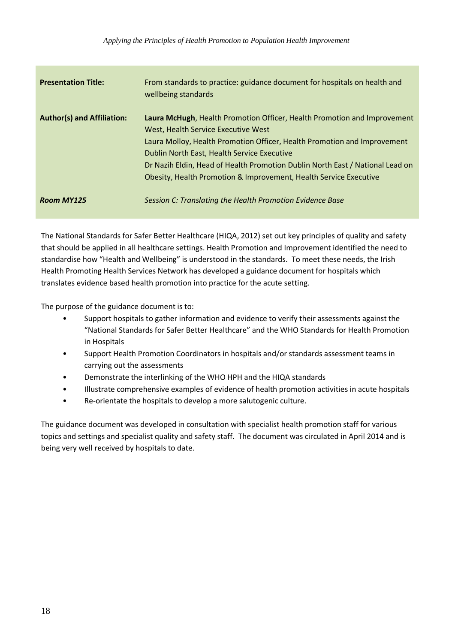| <b>Presentation Title:</b>        | From standards to practice: guidance document for hospitals on health and<br>wellbeing standards                                                                                                                                                                                                                                                                                                 |
|-----------------------------------|--------------------------------------------------------------------------------------------------------------------------------------------------------------------------------------------------------------------------------------------------------------------------------------------------------------------------------------------------------------------------------------------------|
| <b>Author(s) and Affiliation:</b> | Laura McHugh, Health Promotion Officer, Health Promotion and Improvement<br>West, Health Service Executive West<br>Laura Molloy, Health Promotion Officer, Health Promotion and Improvement<br>Dublin North East, Health Service Executive<br>Dr Nazih Eldin, Head of Health Promotion Dublin North East / National Lead on<br>Obesity, Health Promotion & Improvement, Health Service Executive |
| <b>Room MY125</b>                 | Session C: Translating the Health Promotion Evidence Base                                                                                                                                                                                                                                                                                                                                        |

The National Standards for Safer Better Healthcare (HIQA, 2012) set out key principles of quality and safety that should be applied in all healthcare settings. Health Promotion and Improvement identified the need to standardise how "Health and Wellbeing" is understood in the standards. To meet these needs, the Irish Health Promoting Health Services Network has developed a guidance document for hospitals which translates evidence based health promotion into practice for the acute setting.

The purpose of the guidance document is to:

- Support hospitals to gather information and evidence to verify their assessments against the "National Standards for Safer Better Healthcare" and the WHO Standards for Health Promotion in Hospitals
- Support Health Promotion Coordinators in hospitals and/or standards assessment teams in carrying out the assessments
- Demonstrate the interlinking of the WHO HPH and the HIQA standards
- Illustrate comprehensive examples of evidence of health promotion activities in acute hospitals
- Re-orientate the hospitals to develop a more salutogenic culture.

The guidance document was developed in consultation with specialist health promotion staff for various topics and settings and specialist quality and safety staff. The document was circulated in April 2014 and is being very well received by hospitals to date.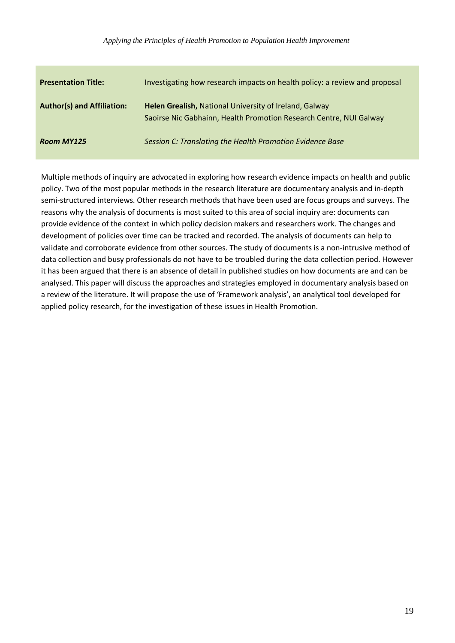| <b>Presentation Title:</b>        | Investigating how research impacts on health policy: a review and proposal                                                   |
|-----------------------------------|------------------------------------------------------------------------------------------------------------------------------|
| <b>Author(s) and Affiliation:</b> | Helen Grealish, National University of Ireland, Galway<br>Saoirse Nic Gabhainn, Health Promotion Research Centre, NUI Galway |
| <b>Room MY125</b>                 | Session C: Translating the Health Promotion Evidence Base                                                                    |

Multiple methods of inquiry are advocated in exploring how research evidence impacts on health and public policy. Two of the most popular methods in the research literature are documentary analysis and in-depth semi-structured interviews. Other research methods that have been used are focus groups and surveys. The reasons why the analysis of documents is most suited to this area of social inquiry are: documents can provide evidence of the context in which policy decision makers and researchers work. The changes and development of policies over time can be tracked and recorded. The analysis of documents can help to validate and corroborate evidence from other sources. The study of documents is a non-intrusive method of data collection and busy professionals do not have to be troubled during the data collection period. However it has been argued that there is an absence of detail in published studies on how documents are and can be analysed. This paper will discuss the approaches and strategies employed in documentary analysis based on a review of the literature. It will propose the use of 'Framework analysis', an analytical tool developed for applied policy research, for the investigation of these issues in Health Promotion.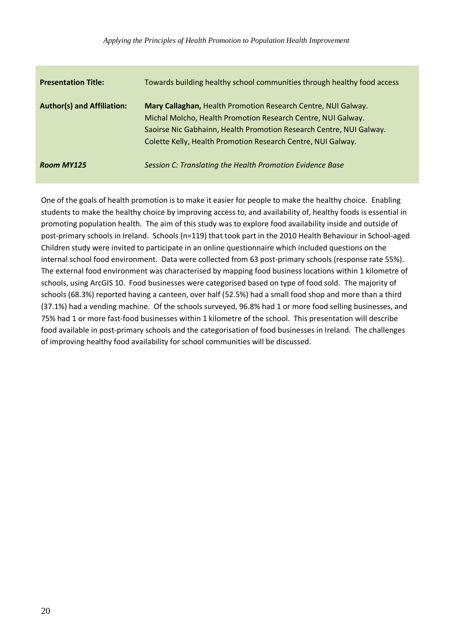| <b>Presentation Title:</b>        | Towards building healthy school communities through healthy food access                                                                                                                                                                                              |
|-----------------------------------|----------------------------------------------------------------------------------------------------------------------------------------------------------------------------------------------------------------------------------------------------------------------|
| <b>Author(s) and Affiliation:</b> | Mary Callaghan, Health Promotion Research Centre, NUI Galway.<br>Michal Molcho, Health Promotion Research Centre, NUI Galway.<br>Saoirse Nic Gabhainn, Health Promotion Research Centre, NUI Galway.<br>Colette Kelly, Health Promotion Research Centre, NUI Galway. |
| <b>Room MY125</b>                 | Session C: Translating the Health Promotion Evidence Base                                                                                                                                                                                                            |

One of the goals of health promotion is to make it easier for people to make the healthy choice. Enabling students to make the healthy choice by improving access to, and availability of, healthy foods is essential in promoting population health. The aim of this study was to explore food availability inside and outside of post-primary schools in Ireland. Schools (n=119) that took part in the 2010 Health Behaviour in School-aged Children study were invited to participate in an online questionnaire which included questions on the internal school food environment. Data were collected from 63 post-primary schools (response rate 55%). The external food environment was characterised by mapping food business locations within 1 kilometre of schools, using ArcGIS 10. Food businesses were categorised based on type of food sold. The majority of schools (68.3%) reported having a canteen, over half (52.5%) had a small food shop and more than a third (37.1%) had a vending machine. Of the schools surveyed, 96.8% had 1 or more food selling businesses, and 75% had 1 or more fast-food businesses within 1 kilometre of the school. This presentation will describe food available in post-primary schools and the categorisation of food businesses in Ireland. The challenges of improving healthy food availability for school communities will be discussed.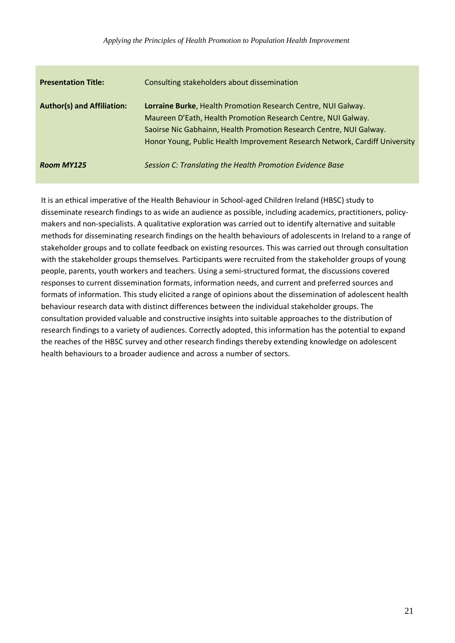| <b>Presentation Title:</b>        | Consulting stakeholders about dissemination                                                                                                                                                                                                                                          |
|-----------------------------------|--------------------------------------------------------------------------------------------------------------------------------------------------------------------------------------------------------------------------------------------------------------------------------------|
| <b>Author(s) and Affiliation:</b> | Lorraine Burke, Health Promotion Research Centre, NUI Galway.<br>Maureen D'Eath, Health Promotion Research Centre, NUI Galway.<br>Saoirse Nic Gabhainn, Health Promotion Research Centre, NUI Galway.<br>Honor Young, Public Health Improvement Research Network, Cardiff University |
| <b>Room MY125</b>                 | Session C: Translating the Health Promotion Evidence Base                                                                                                                                                                                                                            |

It is an ethical imperative of the Health Behaviour in School-aged Children Ireland (HBSC) study to disseminate research findings to as wide an audience as possible, including academics, practitioners, policymakers and non-specialists. A qualitative exploration was carried out to identify alternative and suitable methods for disseminating research findings on the health behaviours of adolescents in Ireland to a range of stakeholder groups and to collate feedback on existing resources. This was carried out through consultation with the stakeholder groups themselves. Participants were recruited from the stakeholder groups of young people, parents, youth workers and teachers. Using a semi-structured format, the discussions covered responses to current dissemination formats, information needs, and current and preferred sources and formats of information. This study elicited a range of opinions about the dissemination of adolescent health behaviour research data with distinct differences between the individual stakeholder groups. The consultation provided valuable and constructive insights into suitable approaches to the distribution of research findings to a variety of audiences. Correctly adopted, this information has the potential to expand the reaches of the HBSC survey and other research findings thereby extending knowledge on adolescent health behaviours to a broader audience and across a number of sectors.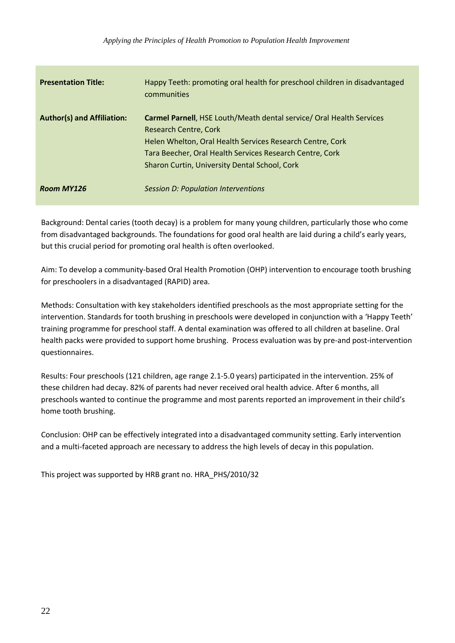| <b>Presentation Title:</b>        | Happy Teeth: promoting oral health for preschool children in disadvantaged<br>communities                                                                                                                                                                                      |
|-----------------------------------|--------------------------------------------------------------------------------------------------------------------------------------------------------------------------------------------------------------------------------------------------------------------------------|
| <b>Author(s) and Affiliation:</b> | <b>Carmel Parnell, HSE Louth/Meath dental service/ Oral Health Services</b><br>Research Centre, Cork<br>Helen Whelton, Oral Health Services Research Centre, Cork<br>Tara Beecher, Oral Health Services Research Centre, Cork<br>Sharon Curtin, University Dental School, Cork |
| Room MY126                        | Session D: Population Interventions                                                                                                                                                                                                                                            |

Background: Dental caries (tooth decay) is a problem for many young children, particularly those who come from disadvantaged backgrounds. The foundations for good oral health are laid during a child's early years, but this crucial period for promoting oral health is often overlooked.

Aim: To develop a community-based Oral Health Promotion (OHP) intervention to encourage tooth brushing for preschoolers in a disadvantaged (RAPID) area.

Methods: Consultation with key stakeholders identified preschools as the most appropriate setting for the intervention. Standards for tooth brushing in preschools were developed in conjunction with a 'Happy Teeth' training programme for preschool staff. A dental examination was offered to all children at baseline. Oral health packs were provided to support home brushing. Process evaluation was by pre-and post-intervention questionnaires.

Results: Four preschools (121 children, age range 2.1-5.0 years) participated in the intervention. 25% of these children had decay. 82% of parents had never received oral health advice. After 6 months, all preschools wanted to continue the programme and most parents reported an improvement in their child's home tooth brushing.

Conclusion: OHP can be effectively integrated into a disadvantaged community setting. Early intervention and a multi-faceted approach are necessary to address the high levels of decay in this population.

This project was supported by HRB grant no. HRA\_PHS/2010/32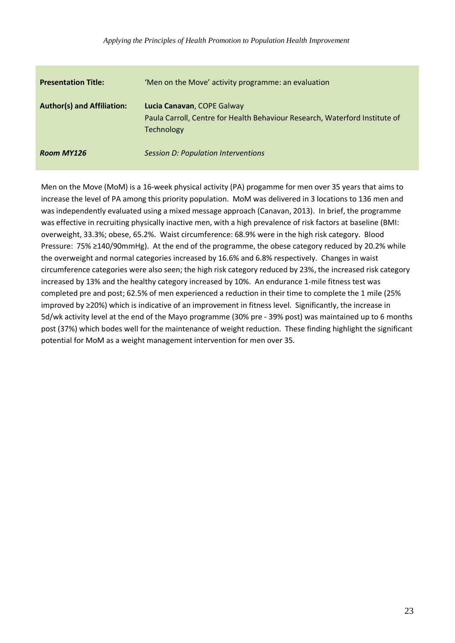| <b>Presentation Title:</b>        | 'Men on the Move' activity programme: an evaluation                                                                            |
|-----------------------------------|--------------------------------------------------------------------------------------------------------------------------------|
| <b>Author(s) and Affiliation:</b> | Lucia Canavan, COPE Galway<br>Paula Carroll, Centre for Health Behaviour Research, Waterford Institute of<br><b>Technology</b> |
| Room MY126                        | <b>Session D: Population Interventions</b>                                                                                     |

Men on the Move (MoM) is a 16-week physical activity (PA) progamme for men over 35 years that aims to increase the level of PA among this priority population. MoM was delivered in 3 locations to 136 men and was independently evaluated using a mixed message approach (Canavan, 2013). In brief, the programme was effective in recruiting physically inactive men, with a high prevalence of risk factors at baseline (BMI: overweight, 33.3%; obese, 65.2%. Waist circumference: 68.9% were in the high risk category. Blood Pressure: 75% ≥140/90mmHg). At the end of the programme, the obese category reduced by 20.2% while the overweight and normal categories increased by 16.6% and 6.8% respectively. Changes in waist circumference categories were also seen; the high risk category reduced by 23%, the increased risk category increased by 13% and the healthy category increased by 10%. An endurance 1-mile fitness test was completed pre and post; 62.5% of men experienced a reduction in their time to complete the 1 mile (25% improved by ≥20%) which is indicative of an improvement in fitness level. Significantly, the increase in 5d/wk activity level at the end of the Mayo programme (30% pre - 39% post) was maintained up to 6 months post (37%) which bodes well for the maintenance of weight reduction. These finding highlight the significant potential for MoM as a weight management intervention for men over 35.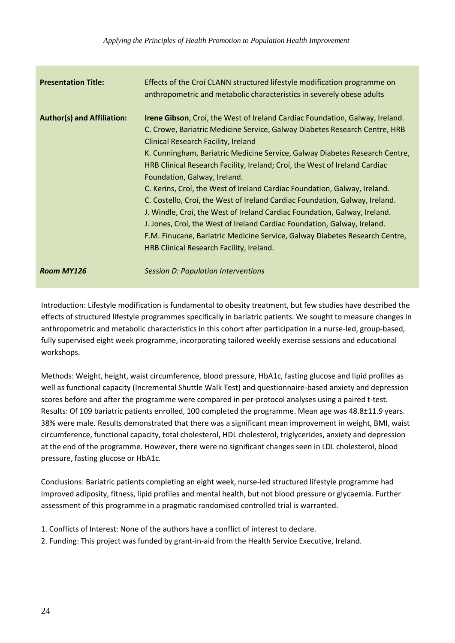| <b>Presentation Title:</b>        | Effects of the Croi CLANN structured lifestyle modification programme on<br>anthropometric and metabolic characteristics in severely obese adults                                                                                                                                                                                                                                                                                                                                                                                                                                                                                                                                                                                                                                                                                                             |
|-----------------------------------|---------------------------------------------------------------------------------------------------------------------------------------------------------------------------------------------------------------------------------------------------------------------------------------------------------------------------------------------------------------------------------------------------------------------------------------------------------------------------------------------------------------------------------------------------------------------------------------------------------------------------------------------------------------------------------------------------------------------------------------------------------------------------------------------------------------------------------------------------------------|
| <b>Author(s) and Affiliation:</b> | <b>Irene Gibson</b> , Croi, the West of Ireland Cardiac Foundation, Galway, Ireland.<br>C. Crowe, Bariatric Medicine Service, Galway Diabetes Research Centre, HRB<br><b>Clinical Research Facility, Ireland</b><br>K. Cunningham, Bariatric Medicine Service, Galway Diabetes Research Centre,<br>HRB Clinical Research Facility, Ireland; Croi, the West of Ireland Cardiac<br>Foundation, Galway, Ireland.<br>C. Kerins, Croi, the West of Ireland Cardiac Foundation, Galway, Ireland.<br>C. Costello, Croi, the West of Ireland Cardiac Foundation, Galway, Ireland.<br>J. Windle, Croi, the West of Ireland Cardiac Foundation, Galway, Ireland.<br>J. Jones, Croi, the West of Ireland Cardiac Foundation, Galway, Ireland.<br>F.M. Finucane, Bariatric Medicine Service, Galway Diabetes Research Centre,<br>HRB Clinical Research Facility, Ireland. |
| <b>Room MY126</b>                 | <b>Session D: Population Interventions</b>                                                                                                                                                                                                                                                                                                                                                                                                                                                                                                                                                                                                                                                                                                                                                                                                                    |

Introduction: Lifestyle modification is fundamental to obesity treatment, but few studies have described the effects of structured lifestyle programmes specifically in bariatric patients. We sought to measure changes in anthropometric and metabolic characteristics in this cohort after participation in a nurse-led, group-based, fully supervised eight week programme, incorporating tailored weekly exercise sessions and educational workshops.

Methods: Weight, height, waist circumference, blood pressure, HbA1c, fasting glucose and lipid profiles as well as functional capacity (Incremental Shuttle Walk Test) and questionnaire-based anxiety and depression scores before and after the programme were compared in per-protocol analyses using a paired t-test. Results: Of 109 bariatric patients enrolled, 100 completed the programme. Mean age was 48.8±11.9 years. 38% were male. Results demonstrated that there was a significant mean improvement in weight, BMI, waist circumference, functional capacity, total cholesterol, HDL cholesterol, triglycerides, anxiety and depression at the end of the programme. However, there were no significant changes seen in LDL cholesterol, blood pressure, fasting glucose or HbA1c.

Conclusions: Bariatric patients completing an eight week, nurse-led structured lifestyle programme had improved adiposity, fitness, lipid profiles and mental health, but not blood pressure or glycaemia. Further assessment of this programme in a pragmatic randomised controlled trial is warranted.

- 1. Conflicts of Interest: None of the authors have a conflict of interest to declare.
- 2. Funding: This project was funded by grant-in-aid from the Health Service Executive, Ireland.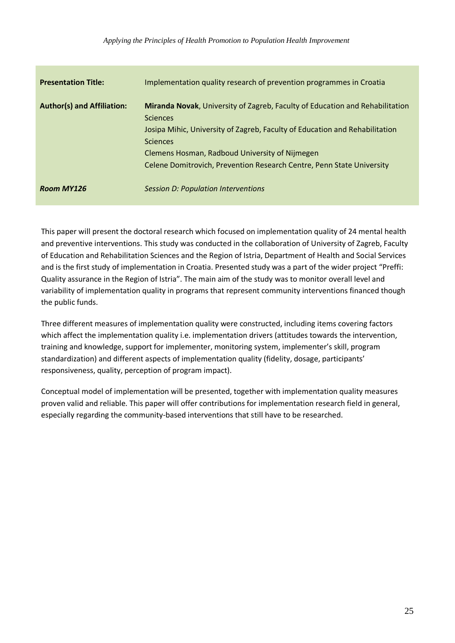| <b>Presentation Title:</b>        | Implementation quality research of prevention programmes in Croatia                                                                                                                                                                                                                                                                 |
|-----------------------------------|-------------------------------------------------------------------------------------------------------------------------------------------------------------------------------------------------------------------------------------------------------------------------------------------------------------------------------------|
| <b>Author(s) and Affiliation:</b> | <b>Miranda Novak, University of Zagreb, Faculty of Education and Rehabilitation</b><br><b>Sciences</b><br>Josipa Mihic, University of Zagreb, Faculty of Education and Rehabilitation<br><b>Sciences</b><br>Clemens Hosman, Radboud University of Nijmegen<br>Celene Domitrovich, Prevention Research Centre, Penn State University |
| <b>Room MY126</b>                 | <b>Session D: Population Interventions</b>                                                                                                                                                                                                                                                                                          |

This paper will present the doctoral research which focused on implementation quality of 24 mental health and preventive interventions. This study was conducted in the collaboration of University of Zagreb, Faculty of Education and Rehabilitation Sciences and the Region of Istria, Department of Health and Social Services and is the first study of implementation in Croatia. Presented study was a part of the wider project "Preffi: Quality assurance in the Region of Istria". The main aim of the study was to monitor overall level and variability of implementation quality in programs that represent community interventions financed though the public funds.

Three different measures of implementation quality were constructed, including items covering factors which affect the implementation quality i.e. implementation drivers (attitudes towards the intervention, training and knowledge, support for implementer, monitoring system, implementer's skill, program standardization) and different aspects of implementation quality (fidelity, dosage, participants' responsiveness, quality, perception of program impact).

Conceptual model of implementation will be presented, together with implementation quality measures proven valid and reliable. This paper will offer contributions for implementation research field in general, especially regarding the community-based interventions that still have to be researched.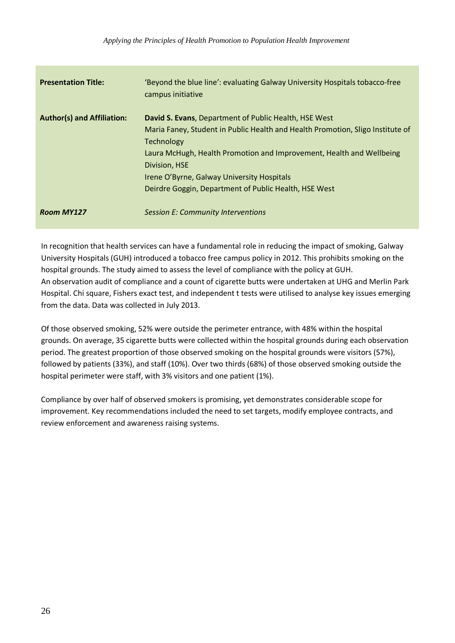| <b>Presentation Title:</b>        | 'Beyond the blue line': evaluating Galway University Hospitals tobacco-free<br>campus initiative                                                                                                                                                                                                                                                             |
|-----------------------------------|--------------------------------------------------------------------------------------------------------------------------------------------------------------------------------------------------------------------------------------------------------------------------------------------------------------------------------------------------------------|
| <b>Author(s) and Affiliation:</b> | David S. Evans, Department of Public Health, HSE West<br>Maria Faney, Student in Public Health and Health Promotion, Sligo Institute of<br><b>Technology</b><br>Laura McHugh, Health Promotion and Improvement, Health and Wellbeing<br>Division, HSE<br>Irene O'Byrne, Galway University Hospitals<br>Deirdre Goggin, Department of Public Health, HSE West |
| <b>Room MY127</b>                 | <b>Session E: Community Interventions</b>                                                                                                                                                                                                                                                                                                                    |

In recognition that health services can have a fundamental role in reducing the impact of smoking, Galway University Hospitals (GUH) introduced a tobacco free campus policy in 2012. This prohibits smoking on the hospital grounds. The study aimed to assess the level of compliance with the policy at GUH. An observation audit of compliance and a count of cigarette butts were undertaken at UHG and Merlin Park Hospital. Chi square, Fishers exact test, and independent t tests were utilised to analyse key issues emerging from the data. Data was collected in July 2013.

Of those observed smoking, 52% were outside the perimeter entrance, with 48% within the hospital grounds. On average, 35 cigarette butts were collected within the hospital grounds during each observation period. The greatest proportion of those observed smoking on the hospital grounds were visitors (57%), followed by patients (33%), and staff (10%). Over two thirds (68%) of those observed smoking outside the hospital perimeter were staff, with 3% visitors and one patient (1%).

Compliance by over half of observed smokers is promising, yet demonstrates considerable scope for improvement. Key recommendations included the need to set targets, modify employee contracts, and review enforcement and awareness raising systems.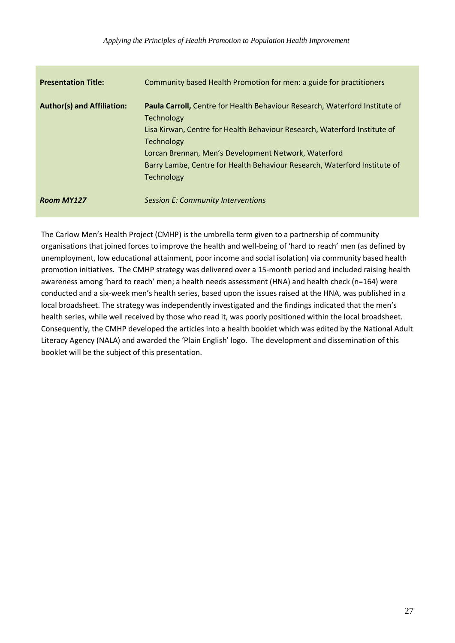| <b>Presentation Title:</b>        | Community based Health Promotion for men: a guide for practitioners                                                                                                                                                                                                                                                                                          |
|-----------------------------------|--------------------------------------------------------------------------------------------------------------------------------------------------------------------------------------------------------------------------------------------------------------------------------------------------------------------------------------------------------------|
| <b>Author(s) and Affiliation:</b> | Paula Carroll, Centre for Health Behaviour Research, Waterford Institute of<br><b>Technology</b><br>Lisa Kirwan, Centre for Health Behaviour Research, Waterford Institute of<br><b>Technology</b><br>Lorcan Brennan, Men's Development Network, Waterford<br>Barry Lambe, Centre for Health Behaviour Research, Waterford Institute of<br><b>Technology</b> |
| <b>Room MY127</b>                 | Session E: Community Interventions                                                                                                                                                                                                                                                                                                                           |

The Carlow Men's Health Project (CMHP) is the umbrella term given to a partnership of community organisations that joined forces to improve the health and well-being of 'hard to reach' men (as defined by unemployment, low educational attainment, poor income and social isolation) via community based health promotion initiatives. The CMHP strategy was delivered over a 15-month period and included raising health awareness among 'hard to reach' men; a health needs assessment (HNA) and health check (n=164) were conducted and a six-week men's health series, based upon the issues raised at the HNA, was published in a local broadsheet. The strategy was independently investigated and the findings indicated that the men's health series, while well received by those who read it, was poorly positioned within the local broadsheet. Consequently, the CMHP developed the articles into a health booklet which was edited by the National Adult Literacy Agency (NALA) and awarded the 'Plain English' logo. The development and dissemination of this booklet will be the subject of this presentation.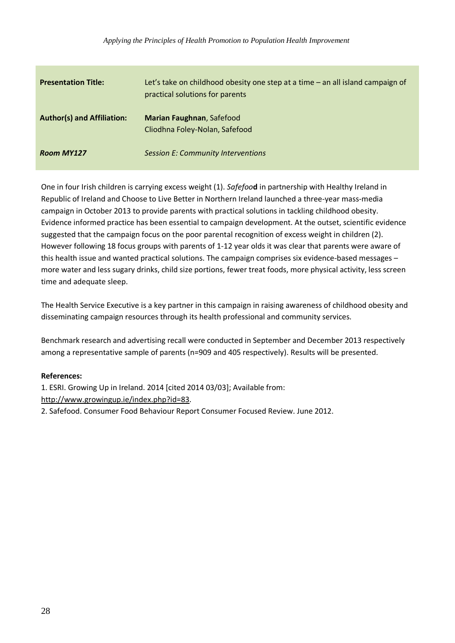| <b>Presentation Title:</b>        | Let's take on childhood obesity one step at a time - an all island campaign of<br>practical solutions for parents |
|-----------------------------------|-------------------------------------------------------------------------------------------------------------------|
| <b>Author(s) and Affiliation:</b> | <b>Marian Faughnan, Safefood</b><br>Cliodhna Foley-Nolan, Safefood                                                |
| <b>Room MY127</b>                 | <b>Session E: Community Interventions</b>                                                                         |

One in four Irish children is carrying excess weight (1). *Safefoo***d** in partnership with Healthy Ireland in Republic of Ireland and Choose to Live Better in Northern Ireland launched a three-year mass-media campaign in October 2013 to provide parents with practical solutions in tackling childhood obesity. Evidence informed practice has been essential to campaign development. At the outset, scientific evidence suggested that the campaign focus on the poor parental recognition of excess weight in children (2). However following 18 focus groups with parents of 1-12 year olds it was clear that parents were aware of this health issue and wanted practical solutions. The campaign comprises six evidence-based messages – more water and less sugary drinks, child size portions, fewer treat foods, more physical activity, less screen time and adequate sleep.

The Health Service Executive is a key partner in this campaign in raising awareness of childhood obesity and disseminating campaign resources through its health professional and community services.

Benchmark research and advertising recall were conducted in September and December 2013 respectively among a representative sample of parents (n=909 and 405 respectively). Results will be presented.

### **References:**

1. ESRI. Growing Up in Ireland. 2014 [cited 2014 03/03]; Available from: [http://www.growingup.ie/index.php?id=83.](http://www.growingup.ie/index.php?id=83)

2. Safefood. Consumer Food Behaviour Report Consumer Focused Review. June 2012.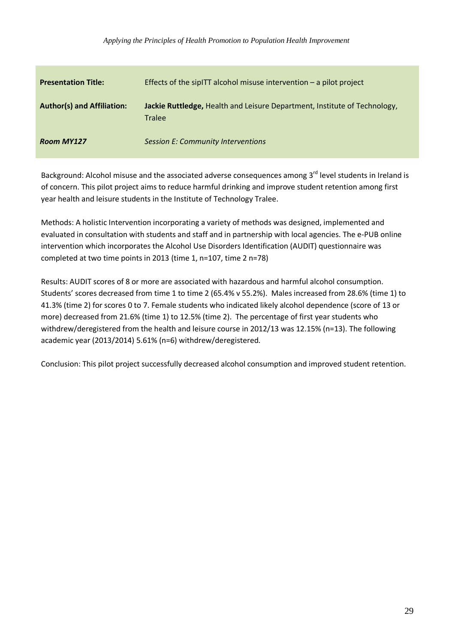| <b>Presentation Title:</b>        | Effects of the sipITT alcohol misuse intervention $-$ a pilot project                      |
|-----------------------------------|--------------------------------------------------------------------------------------------|
| <b>Author(s) and Affiliation:</b> | Jackie Ruttledge, Health and Leisure Department, Institute of Technology,<br><b>Tralee</b> |
| <b>Room MY127</b>                 | <b>Session E: Community Interventions</b>                                                  |

Background: Alcohol misuse and the associated adverse consequences among 3<sup>rd</sup> level students in Ireland is of concern. This pilot project aims to reduce harmful drinking and improve student retention among first year health and leisure students in the Institute of Technology Tralee.

Methods: A holistic Intervention incorporating a variety of methods was designed, implemented and evaluated in consultation with students and staff and in partnership with local agencies. The e-PUB online intervention which incorporates the Alcohol Use Disorders Identification (AUDIT) questionnaire was completed at two time points in 2013 (time 1, n=107, time 2 n=78)

Results: AUDIT scores of 8 or more are associated with hazardous and harmful alcohol consumption. Students' scores decreased from time 1 to time 2 (65.4% v 55.2%). Males increased from 28.6% (time 1) to 41.3% (time 2) for scores 0 to 7. Female students who indicated likely alcohol dependence (score of 13 or more) decreased from 21.6% (time 1) to 12.5% (time 2). The percentage of first year students who withdrew/deregistered from the health and leisure course in 2012/13 was 12.15% (n=13). The following academic year (2013/2014) 5.61% (n=6) withdrew/deregistered.

Conclusion: This pilot project successfully decreased alcohol consumption and improved student retention.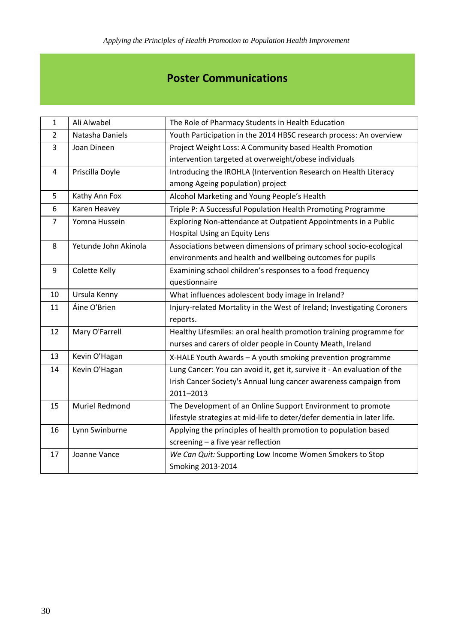# **Poster Communications**

| $\mathbf{1}$   | Ali Alwabel          | The Role of Pharmacy Students in Health Education                        |
|----------------|----------------------|--------------------------------------------------------------------------|
| $\overline{2}$ | Natasha Daniels      | Youth Participation in the 2014 HBSC research process: An overview       |
| 3              | Joan Dineen          | Project Weight Loss: A Community based Health Promotion                  |
|                |                      | intervention targeted at overweight/obese individuals                    |
| $\overline{4}$ | Priscilla Doyle      | Introducing the IROHLA (Intervention Research on Health Literacy         |
|                |                      | among Ageing population) project                                         |
| 5              | Kathy Ann Fox        | Alcohol Marketing and Young People's Health                              |
| 6              | Karen Heavey         | Triple P: A Successful Population Health Promoting Programme             |
| 7              | Yomna Hussein        | Exploring Non-attendance at Outpatient Appointments in a Public          |
|                |                      | Hospital Using an Equity Lens                                            |
| 8              | Yetunde John Akinola | Associations between dimensions of primary school socio-ecological       |
|                |                      | environments and health and wellbeing outcomes for pupils                |
| 9              | Colette Kelly        | Examining school children's responses to a food frequency                |
|                |                      | questionnaire                                                            |
| 10             | Ursula Kenny         | What influences adolescent body image in Ireland?                        |
| 11             | Áine O'Brien         | Injury-related Mortality in the West of Ireland; Investigating Coroners  |
|                |                      | reports.                                                                 |
| 12             | Mary O'Farrell       | Healthy Lifesmiles: an oral health promotion training programme for      |
|                |                      | nurses and carers of older people in County Meath, Ireland               |
| 13             | Kevin O'Hagan        | X-HALE Youth Awards - A youth smoking prevention programme               |
| 14             | Kevin O'Hagan        | Lung Cancer: You can avoid it, get it, survive it - An evaluation of the |
|                |                      | Irish Cancer Society's Annual lung cancer awareness campaign from        |
|                |                      | 2011-2013                                                                |
| 15             | Muriel Redmond       | The Development of an Online Support Environment to promote              |
|                |                      | lifestyle strategies at mid-life to deter/defer dementia in later life.  |
| 16             | Lynn Swinburne       | Applying the principles of health promotion to population based          |
|                |                      | screening - a five year reflection                                       |
| 17             | Joanne Vance         | We Can Quit: Supporting Low Income Women Smokers to Stop                 |
|                |                      | Smoking 2013-2014                                                        |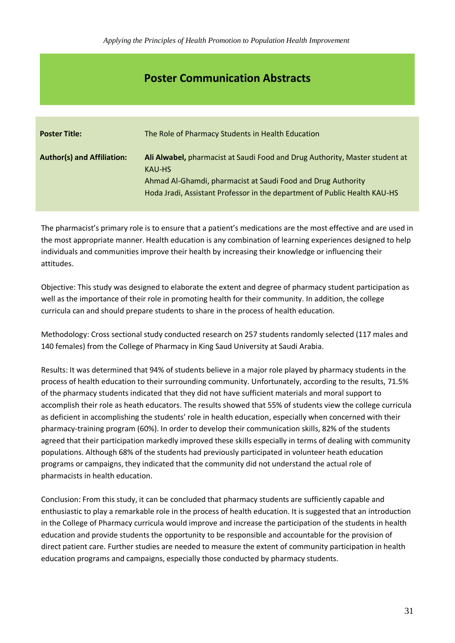## **Poster Communication Abstracts**

| <b>Poster Title:</b>              | The Role of Pharmacy Students in Health Education                                                                                                                                                                                  |
|-----------------------------------|------------------------------------------------------------------------------------------------------------------------------------------------------------------------------------------------------------------------------------|
| <b>Author(s) and Affiliation:</b> | Ali Alwabel, pharmacist at Saudi Food and Drug Authority, Master student at<br>KAU-HS<br>Ahmad Al-Ghamdi, pharmacist at Saudi Food and Drug Authority<br>Hoda Jradi, Assistant Professor in the department of Public Health KAU-HS |

The pharmacist's primary role is to ensure that a patient's medications are the most effective and are used in the most appropriate manner. Health education is any combination of learning experiences designed to help individuals and communities improve their health by increasing their knowledge or influencing their attitudes.

Objective: This study was designed to elaborate the extent and degree of pharmacy student participation as well as the importance of their role in promoting health for their community. In addition, the college curricula can and should prepare students to share in the process of health education.

Methodology: Cross sectional study conducted research on 257 students randomly selected (117 males and 140 females) from the College of Pharmacy in King Saud University at Saudi Arabia.

Results: It was determined that 94% of students believe in a major role played by pharmacy students in the process of health education to their surrounding community. Unfortunately, according to the results, 71.5% of the pharmacy students indicated that they did not have sufficient materials and moral support to accomplish their role as heath educators. The results showed that 55% of students view the college curricula as deficient in accomplishing the students' role in health education, especially when concerned with their pharmacy-training program (60%). In order to develop their communication skills, 82% of the students agreed that their participation markedly improved these skills especially in terms of dealing with community populations. Although 68% of the students had previously participated in volunteer heath education programs or campaigns, they indicated that the community did not understand the actual role of pharmacists in health education.

Conclusion: From this study, it can be concluded that pharmacy students are sufficiently capable and enthusiastic to play a remarkable role in the process of health education. It is suggested that an introduction in the College of Pharmacy curricula would improve and increase the participation of the students in health education and provide students the opportunity to be responsible and accountable for the provision of direct patient care. Further studies are needed to measure the extent of community participation in health education programs and campaigns, especially those conducted by pharmacy students.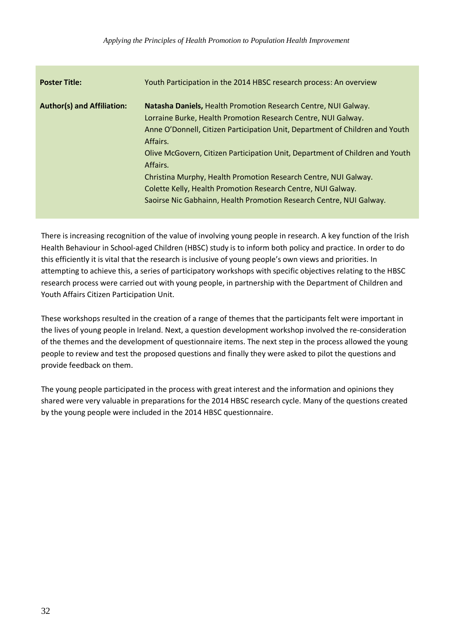| <b>Poster Title:</b>              | Youth Participation in the 2014 HBSC research process: An overview                                                                                                                                                                                                                                                                                                                                                                                                                                                                |
|-----------------------------------|-----------------------------------------------------------------------------------------------------------------------------------------------------------------------------------------------------------------------------------------------------------------------------------------------------------------------------------------------------------------------------------------------------------------------------------------------------------------------------------------------------------------------------------|
| <b>Author(s) and Affiliation:</b> | Natasha Daniels, Health Promotion Research Centre, NUI Galway.<br>Lorraine Burke, Health Promotion Research Centre, NUI Galway.<br>Anne O'Donnell, Citizen Participation Unit, Department of Children and Youth<br>Affairs.<br>Olive McGovern, Citizen Participation Unit, Department of Children and Youth<br>Affairs.<br>Christina Murphy, Health Promotion Research Centre, NUI Galway.<br>Colette Kelly, Health Promotion Research Centre, NUI Galway.<br>Saoirse Nic Gabhainn, Health Promotion Research Centre, NUI Galway. |

There is increasing recognition of the value of involving young people in research. A key function of the Irish Health Behaviour in School-aged Children (HBSC) study is to inform both policy and practice. In order to do this efficiently it is vital that the research is inclusive of young people's own views and priorities. In attempting to achieve this, a series of participatory workshops with specific objectives relating to the HBSC research process were carried out with young people, in partnership with the Department of Children and Youth Affairs Citizen Participation Unit.

These workshops resulted in the creation of a range of themes that the participants felt were important in the lives of young people in Ireland. Next, a question development workshop involved the re-consideration of the themes and the development of questionnaire items. The next step in the process allowed the young people to review and test the proposed questions and finally they were asked to pilot the questions and provide feedback on them.

The young people participated in the process with great interest and the information and opinions they shared were very valuable in preparations for the 2014 HBSC research cycle. Many of the questions created by the young people were included in the 2014 HBSC questionnaire.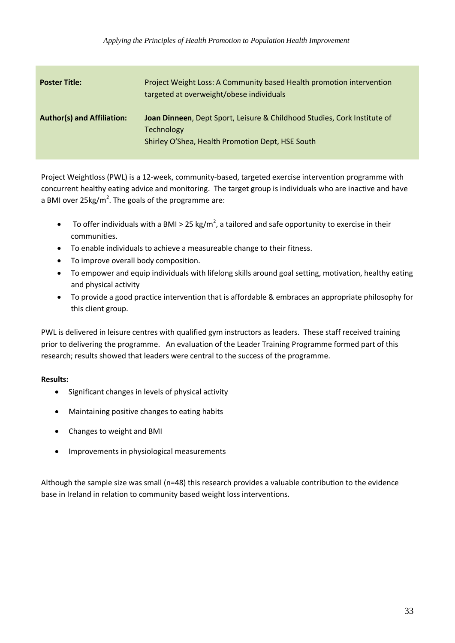| <b>Poster Title:</b>              | Project Weight Loss: A Community based Health promotion intervention<br>targeted at overweight/obese individuals                           |
|-----------------------------------|--------------------------------------------------------------------------------------------------------------------------------------------|
| <b>Author(s) and Affiliation:</b> | Joan Dinneen, Dept Sport, Leisure & Childhood Studies, Cork Institute of<br>Technology<br>Shirley O'Shea, Health Promotion Dept, HSE South |

Project Weightloss (PWL) is a 12-week, community-based, targeted exercise intervention programme with concurrent healthy eating advice and monitoring. The target group is individuals who are inactive and have a BMI over 25 $kg/m^2$ . The goals of the programme are:

- To offer individuals with a BMI > 25 kg/m<sup>2</sup>, a tailored and safe opportunity to exercise in their communities.
- To enable individuals to achieve a measureable change to their fitness.
- To improve overall body composition.
- To empower and equip individuals with lifelong skills around goal setting, motivation, healthy eating and physical activity
- To provide a good practice intervention that is affordable & embraces an appropriate philosophy for this client group.

PWL is delivered in leisure centres with qualified gym instructors as leaders. These staff received training prior to delivering the programme. An evaluation of the Leader Training Programme formed part of this research; results showed that leaders were central to the success of the programme.

### **Results:**

- Significant changes in levels of physical activity
- Maintaining positive changes to eating habits
- Changes to weight and BMI
- Improvements in physiological measurements

Although the sample size was small (n=48) this research provides a valuable contribution to the evidence base in Ireland in relation to community based weight loss interventions.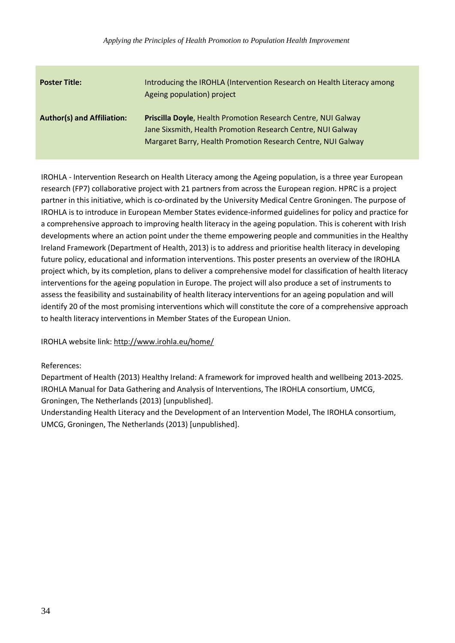| <b>Poster Title:</b>              | Introducing the IROHLA (Intervention Research on Health Literacy among<br>Ageing population) project                                                                                                |
|-----------------------------------|-----------------------------------------------------------------------------------------------------------------------------------------------------------------------------------------------------|
| <b>Author(s) and Affiliation:</b> | <b>Priscilla Doyle, Health Promotion Research Centre, NUI Galway</b><br>Jane Sixsmith, Health Promotion Research Centre, NUI Galway<br>Margaret Barry, Health Promotion Research Centre, NUI Galway |

IROHLA - Intervention Research on Health Literacy among the Ageing population, is a three year European research (FP7) collaborative project with 21 partners from across the European region. HPRC is a project partner in this initiative, which is co-ordinated by the University Medical Centre Groningen. The purpose of IROHLA is to introduce in European Member States evidence-informed guidelines for policy and practice for a comprehensive approach to improving health literacy in the ageing population. This is coherent with Irish developments where an action point under the theme empowering people and communities in the Healthy Ireland Framework (Department of Health, 2013) is to address and prioritise health literacy in developing future policy, educational and information interventions. This poster presents an overview of the IROHLA project which, by its completion, plans to deliver a comprehensive model for classification of health literacy interventions for the ageing population in Europe. The project will also produce a set of instruments to assess the feasibility and sustainability of health literacy interventions for an ageing population and will identify 20 of the most promising interventions which will constitute the core of a comprehensive approach to health literacy interventions in Member States of the European Union.

IROHLA website link:<http://www.irohla.eu/home/>

### References:

Department of Health (2013) Healthy Ireland: A framework for improved health and wellbeing 2013-2025. IROHLA Manual for Data Gathering and Analysis of Interventions, The IROHLA consortium, UMCG, Groningen, The Netherlands (2013) [unpublished].

Understanding Health Literacy and the Development of an Intervention Model, The IROHLA consortium, UMCG, Groningen, The Netherlands (2013) [unpublished].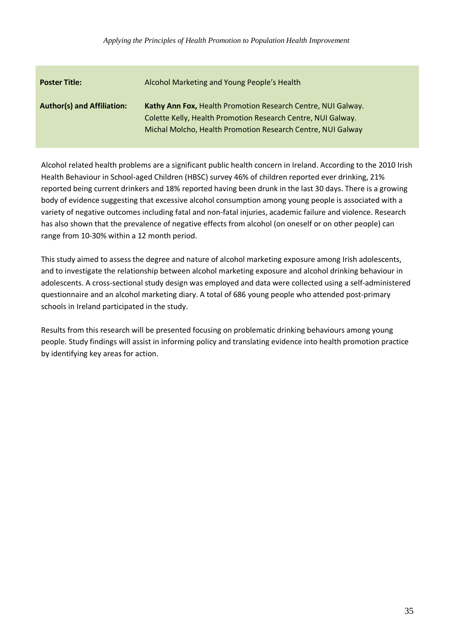| <b>Poster Title:</b>              | Alcohol Marketing and Young People's Health                                                                                                                                                 |
|-----------------------------------|---------------------------------------------------------------------------------------------------------------------------------------------------------------------------------------------|
| <b>Author(s) and Affiliation:</b> | Kathy Ann Fox, Health Promotion Research Centre, NUI Galway.<br>Colette Kelly, Health Promotion Research Centre, NUI Galway.<br>Michal Molcho, Health Promotion Research Centre, NUI Galway |

Alcohol related health problems are a significant public health concern in Ireland. According to the 2010 Irish Health Behaviour in School-aged Children (HBSC) survey 46% of children reported ever drinking, 21% reported being current drinkers and 18% reported having been drunk in the last 30 days. There is a growing body of evidence suggesting that excessive alcohol consumption among young people is associated with a variety of negative outcomes including fatal and non-fatal injuries, academic failure and violence. Research has also shown that the prevalence of negative effects from alcohol (on oneself or on other people) can range from 10-30% within a 12 month period.

This study aimed to assess the degree and nature of alcohol marketing exposure among Irish adolescents, and to investigate the relationship between alcohol marketing exposure and alcohol drinking behaviour in adolescents. A cross-sectional study design was employed and data were collected using a self-administered questionnaire and an alcohol marketing diary. A total of 686 young people who attended post-primary schools in Ireland participated in the study.

Results from this research will be presented focusing on problematic drinking behaviours among young people. Study findings will assist in informing policy and translating evidence into health promotion practice by identifying key areas for action.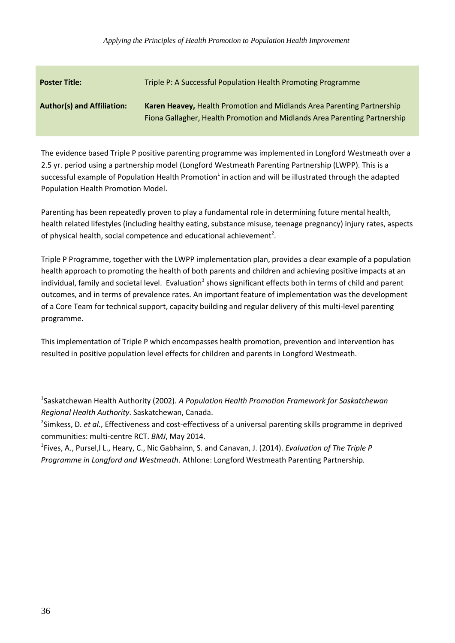| <b>Poster Title:</b>              | Triple P: A Successful Population Health Promoting Programme                                                                                        |
|-----------------------------------|-----------------------------------------------------------------------------------------------------------------------------------------------------|
| <b>Author(s) and Affiliation:</b> | Karen Heavey, Health Promotion and Midlands Area Parenting Partnership<br>Fiona Gallagher, Health Promotion and Midlands Area Parenting Partnership |

The evidence based Triple P positive parenting programme was implemented in Longford Westmeath over a 2.5 yr. period using a partnership model (Longford Westmeath Parenting Partnership (LWPP). This is a successful example of Population Health Promotion<sup>1</sup> in action and will be illustrated through the adapted Population Health Promotion Model.

Parenting has been repeatedly proven to play a fundamental role in determining future mental health, health related lifestyles (including healthy eating, substance misuse, teenage pregnancy) injury rates, aspects of physical health, social competence and educational achievement<sup>2</sup>.

Triple P Programme, together with the LWPP implementation plan, provides a clear example of a population health approach to promoting the health of both parents and children and achieving positive impacts at an individual, family and societal level. Evaluation<sup>3</sup> shows significant effects both in terms of child and parent outcomes, and in terms of prevalence rates. An important feature of implementation was the development of a Core Team for technical support, capacity building and regular delivery of this multi-level parenting programme.

This implementation of Triple P which encompasses health promotion, prevention and intervention has resulted in positive population level effects for children and parents in Longford Westmeath.

1 Saskatchewan Health Authority (2002). *A Population Health Promotion Framework for Saskatchewan Regional Health Authority*. Saskatchewan, Canada.

2 Simkess, D. *et al.,* Effectiveness and cost-effectivess of a universal parenting skills programme in deprived communities: multi-centre RCT. *BMJ*, May 2014.

3 Fives, A., Pursel,l L., Heary, C., Nic Gabhainn, S. and Canavan, J. (2014). *Evaluation of The Triple P Programme in Longford and Westmeath*. Athlone: Longford Westmeath Parenting Partnership.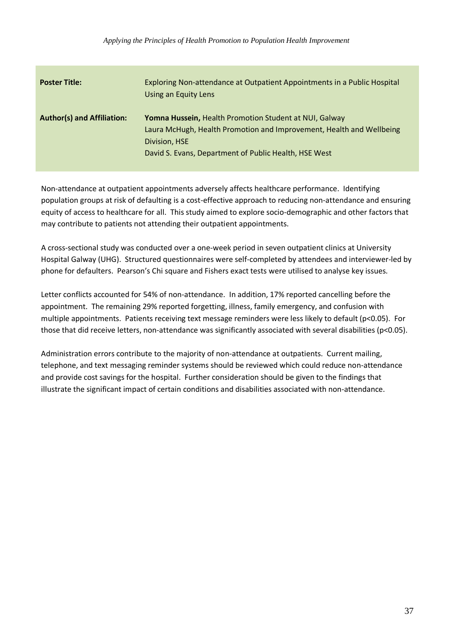| <b>Poster Title:</b>              | Exploring Non-attendance at Outpatient Appointments in a Public Hospital<br>Using an Equity Lens                                                                                                                |
|-----------------------------------|-----------------------------------------------------------------------------------------------------------------------------------------------------------------------------------------------------------------|
| <b>Author(s) and Affiliation:</b> | <b>Yomna Hussein, Health Promotion Student at NUI, Galway</b><br>Laura McHugh, Health Promotion and Improvement, Health and Wellbeing<br>Division, HSE<br>David S. Evans, Department of Public Health, HSE West |

Non-attendance at outpatient appointments adversely affects healthcare performance. Identifying population groups at risk of defaulting is a cost-effective approach to reducing non-attendance and ensuring equity of access to healthcare for all. This study aimed to explore socio-demographic and other factors that may contribute to patients not attending their outpatient appointments.

A cross-sectional study was conducted over a one-week period in seven outpatient clinics at University Hospital Galway (UHG). Structured questionnaires were self-completed by attendees and interviewer-led by phone for defaulters. Pearson's Chi square and Fishers exact tests were utilised to analyse key issues.

Letter conflicts accounted for 54% of non-attendance. In addition, 17% reported cancelling before the appointment. The remaining 29% reported forgetting, illness, family emergency, and confusion with multiple appointments. Patients receiving text message reminders were less likely to default (p<0.05). For those that did receive letters, non-attendance was significantly associated with several disabilities (p<0.05).

Administration errors contribute to the majority of non-attendance at outpatients. Current mailing, telephone, and text messaging reminder systems should be reviewed which could reduce non-attendance and provide cost savings for the hospital. Further consideration should be given to the findings that illustrate the significant impact of certain conditions and disabilities associated with non-attendance.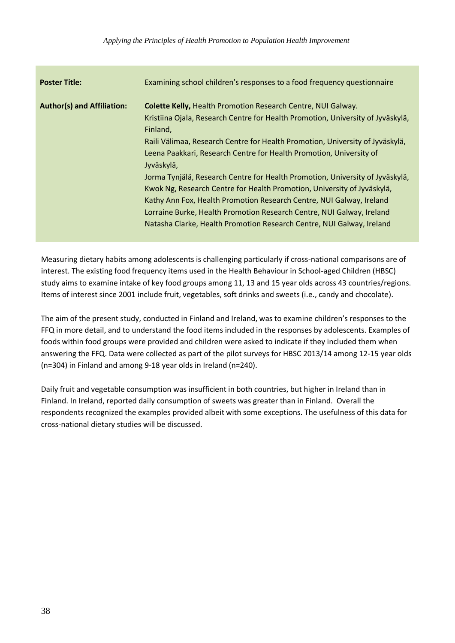| <b>Poster Title:</b>              | Examining school children's responses to a food frequency questionnaire                                                                                                                                                                                                                                                                                                                                                                                                                                                                                                                                                                                                                                                        |
|-----------------------------------|--------------------------------------------------------------------------------------------------------------------------------------------------------------------------------------------------------------------------------------------------------------------------------------------------------------------------------------------------------------------------------------------------------------------------------------------------------------------------------------------------------------------------------------------------------------------------------------------------------------------------------------------------------------------------------------------------------------------------------|
| <b>Author(s) and Affiliation:</b> | <b>Colette Kelly, Health Promotion Research Centre, NUI Galway.</b><br>Kristiina Ojala, Research Centre for Health Promotion, University of Jyväskylä,<br>Finland,<br>Raili Välimaa, Research Centre for Health Promotion, University of Jyväskylä,<br>Leena Paakkari, Research Centre for Health Promotion, University of<br>Jyväskylä,<br>Jorma Tynjälä, Research Centre for Health Promotion, University of Jyväskylä,<br>Kwok Ng, Research Centre for Health Promotion, University of Jyväskylä,<br>Kathy Ann Fox, Health Promotion Research Centre, NUI Galway, Ireland<br>Lorraine Burke, Health Promotion Research Centre, NUI Galway, Ireland<br>Natasha Clarke, Health Promotion Research Centre, NUI Galway, Ireland |

Measuring dietary habits among adolescents is challenging particularly if cross-national comparisons are of interest. The existing food frequency items used in the Health Behaviour in School-aged Children (HBSC) study aims to examine intake of key food groups among 11, 13 and 15 year olds across 43 countries/regions. Items of interest since 2001 include fruit, vegetables, soft drinks and sweets (i.e., candy and chocolate).

The aim of the present study, conducted in Finland and Ireland, was to examine children's responses to the FFQ in more detail, and to understand the food items included in the responses by adolescents. Examples of foods within food groups were provided and children were asked to indicate if they included them when answering the FFQ. Data were collected as part of the pilot surveys for HBSC 2013/14 among 12-15 year olds (n=304) in Finland and among 9-18 year olds in Ireland (n=240).

Daily fruit and vegetable consumption was insufficient in both countries, but higher in Ireland than in Finland. In Ireland, reported daily consumption of sweets was greater than in Finland. Overall the respondents recognized the examples provided albeit with some exceptions. The usefulness of this data for cross-national dietary studies will be discussed.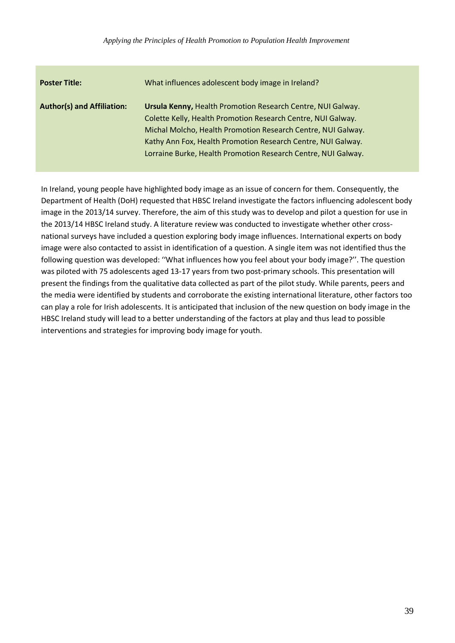| <b>Poster Title:</b>              | What influences adolescent body image in Ireland?                                                                                                                                                                                                                                                                            |
|-----------------------------------|------------------------------------------------------------------------------------------------------------------------------------------------------------------------------------------------------------------------------------------------------------------------------------------------------------------------------|
| <b>Author(s) and Affiliation:</b> | Ursula Kenny, Health Promotion Research Centre, NUI Galway.<br>Colette Kelly, Health Promotion Research Centre, NUI Galway.<br>Michal Molcho, Health Promotion Research Centre, NUI Galway.<br>Kathy Ann Fox, Health Promotion Research Centre, NUI Galway.<br>Lorraine Burke, Health Promotion Research Centre, NUI Galway. |

In Ireland, young people have highlighted body image as an issue of concern for them. Consequently, the Department of Health (DoH) requested that HBSC Ireland investigate the factors influencing adolescent body image in the 2013/14 survey. Therefore, the aim of this study was to develop and pilot a question for use in the 2013/14 HBSC Ireland study. A literature review was conducted to investigate whether other crossnational surveys have included a question exploring body image influences. International experts on body image were also contacted to assist in identification of a question. A single item was not identified thus the following question was developed: ''What influences how you feel about your body image?''. The question was piloted with 75 adolescents aged 13-17 years from two post-primary schools. This presentation will present the findings from the qualitative data collected as part of the pilot study. While parents, peers and the media were identified by students and corroborate the existing international literature, other factors too can play a role for Irish adolescents. It is anticipated that inclusion of the new question on body image in the HBSC Ireland study will lead to a better understanding of the factors at play and thus lead to possible interventions and strategies for improving body image for youth.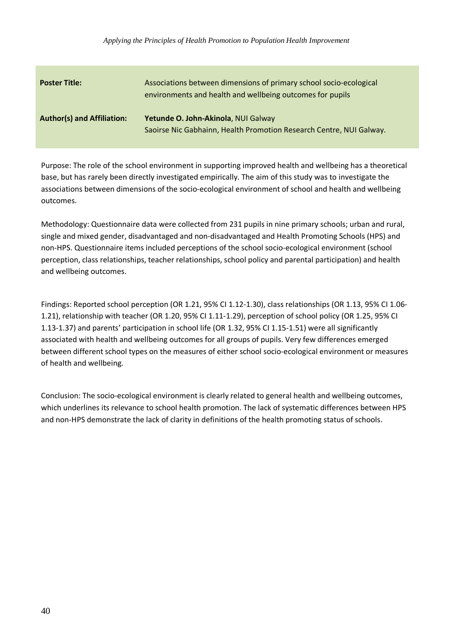| <b>Poster Title:</b>              | Associations between dimensions of primary school socio-ecological<br>environments and health and wellbeing outcomes for pupils |
|-----------------------------------|---------------------------------------------------------------------------------------------------------------------------------|
| <b>Author(s) and Affiliation:</b> | Yetunde O. John-Akinola, NUI Galway<br>Saoirse Nic Gabhainn, Health Promotion Research Centre, NUI Galway.                      |

Purpose: The role of the school environment in supporting improved health and wellbeing has a theoretical base, but has rarely been directly investigated empirically. The aim of this study was to investigate the associations between dimensions of the socio-ecological environment of school and health and wellbeing outcomes.

Methodology: Questionnaire data were collected from 231 pupils in nine primary schools; urban and rural, single and mixed gender, disadvantaged and non-disadvantaged and Health Promoting Schools (HPS) and non-HPS. Questionnaire items included perceptions of the school socio-ecological environment (school perception, class relationships, teacher relationships, school policy and parental participation) and health and wellbeing outcomes.

Findings: Reported school perception (OR 1.21, 95% CI 1.12-1.30), class relationships (OR 1.13, 95% CI 1.06- 1.21), relationship with teacher (OR 1.20, 95% CI 1.11-1.29), perception of school policy (OR 1.25, 95% CI 1.13-1.37) and parents' participation in school life (OR 1.32, 95% CI 1.15-1.51) were all significantly associated with health and wellbeing outcomes for all groups of pupils. Very few differences emerged between different school types on the measures of either school socio-ecological environment or measures of health and wellbeing.

Conclusion: The socio-ecological environment is clearly related to general health and wellbeing outcomes, which underlines its relevance to school health promotion. The lack of systematic differences between HPS and non-HPS demonstrate the lack of clarity in definitions of the health promoting status of schools.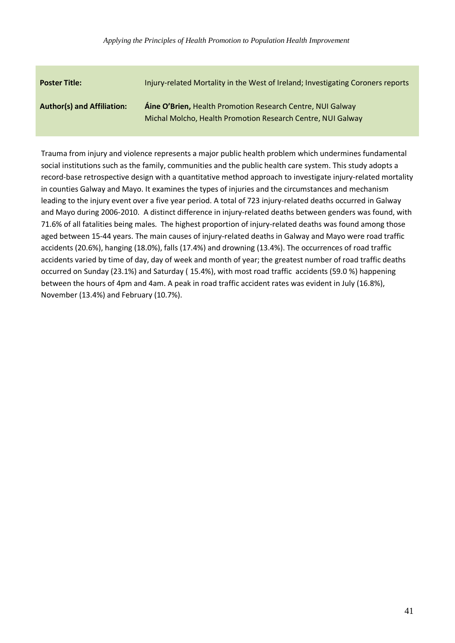| <b>Poster Title:</b>              | Injury-related Mortality in the West of Ireland; Investigating Coroners reports                                                  |
|-----------------------------------|----------------------------------------------------------------------------------------------------------------------------------|
| <b>Author(s) and Affiliation:</b> | <b>Áine O'Brien, Health Promotion Research Centre, NUI Galway</b><br>Michal Molcho, Health Promotion Research Centre, NUI Galway |

Trauma from injury and violence represents a major public health problem which undermines fundamental social institutions such as the family, communities and the public health care system. This study adopts a record-base retrospective design with a quantitative method approach to investigate injury-related mortality in counties Galway and Mayo. It examines the types of injuries and the circumstances and mechanism leading to the injury event over a five year period. A total of 723 injury-related deaths occurred in Galway and Mayo during 2006-2010. A distinct difference in injury-related deaths between genders was found, with 71.6% of all fatalities being males. The highest proportion of injury-related deaths was found among those aged between 15-44 years. The main causes of injury-related deaths in Galway and Mayo were road traffic accidents (20.6%), hanging (18.0%), falls (17.4%) and drowning (13.4%). The occurrences of road traffic accidents varied by time of day, day of week and month of year; the greatest number of road traffic deaths occurred on Sunday (23.1%) and Saturday ( 15.4%), with most road traffic accidents (59.0 %) happening between the hours of 4pm and 4am. A peak in road traffic accident rates was evident in July (16.8%), November (13.4%) and February (10.7%).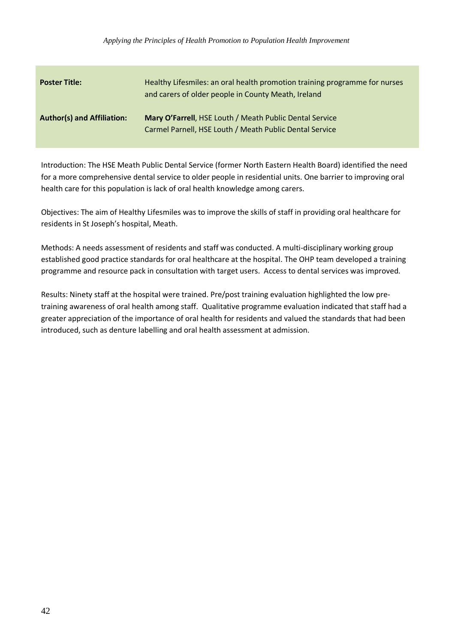| <b>Poster Title:</b>              | Healthy Lifesmiles: an oral health promotion training programme for nurses<br>and carers of older people in County Meath, Ireland |
|-----------------------------------|-----------------------------------------------------------------------------------------------------------------------------------|
| <b>Author(s) and Affiliation:</b> | Mary O'Farrell, HSE Louth / Meath Public Dental Service<br>Carmel Parnell, HSE Louth / Meath Public Dental Service                |

Introduction: The HSE Meath Public Dental Service (former North Eastern Health Board) identified the need for a more comprehensive dental service to older people in residential units. One barrier to improving oral health care for this population is lack of oral health knowledge among carers.

Objectives: The aim of Healthy Lifesmiles was to improve the skills of staff in providing oral healthcare for residents in St Joseph's hospital, Meath.

Methods: A needs assessment of residents and staff was conducted. A multi-disciplinary working group established good practice standards for oral healthcare at the hospital. The OHP team developed a training programme and resource pack in consultation with target users. Access to dental services was improved.

Results: Ninety staff at the hospital were trained. Pre/post training evaluation highlighted the low pretraining awareness of oral health among staff. Qualitative programme evaluation indicated that staff had a greater appreciation of the importance of oral health for residents and valued the standards that had been introduced, such as denture labelling and oral health assessment at admission.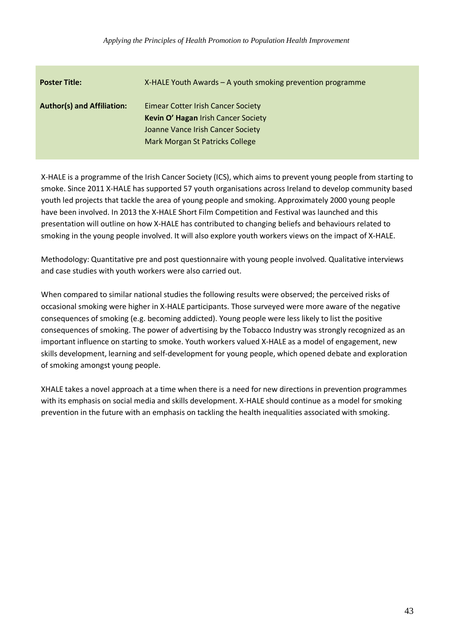| <b>Poster Title:</b>              | $X$ -HALE Youth Awards – A youth smoking prevention programme                                                                                                   |
|-----------------------------------|-----------------------------------------------------------------------------------------------------------------------------------------------------------------|
| <b>Author(s) and Affiliation:</b> | <b>Eimear Cotter Irish Cancer Society</b><br>Kevin O' Hagan Irish Cancer Society<br>Joanne Vance Irish Cancer Society<br><b>Mark Morgan St Patricks College</b> |

X-HALE is a programme of the Irish Cancer Society (ICS), which aims to prevent young people from starting to smoke. Since 2011 X-HALE has supported 57 youth organisations across Ireland to develop community based youth led projects that tackle the area of young people and smoking. Approximately 2000 young people have been involved. In 2013 the X-HALE Short Film Competition and Festival was launched and this presentation will outline on how X-HALE has contributed to changing beliefs and behaviours related to smoking in the young people involved. It will also explore youth workers views on the impact of X-HALE.

Methodology: Quantitative pre and post questionnaire with young people involved. Qualitative interviews and case studies with youth workers were also carried out.

When compared to similar national studies the following results were observed; the perceived risks of occasional smoking were higher in X-HALE participants. Those surveyed were more aware of the negative consequences of smoking (e.g. becoming addicted). Young people were less likely to list the positive consequences of smoking. The power of advertising by the Tobacco Industry was strongly recognized as an important influence on starting to smoke. Youth workers valued X-HALE as a model of engagement, new skills development, learning and self-development for young people, which opened debate and exploration of smoking amongst young people.

XHALE takes a novel approach at a time when there is a need for new directions in prevention programmes with its emphasis on social media and skills development. X-HALE should continue as a model for smoking prevention in the future with an emphasis on tackling the health inequalities associated with smoking.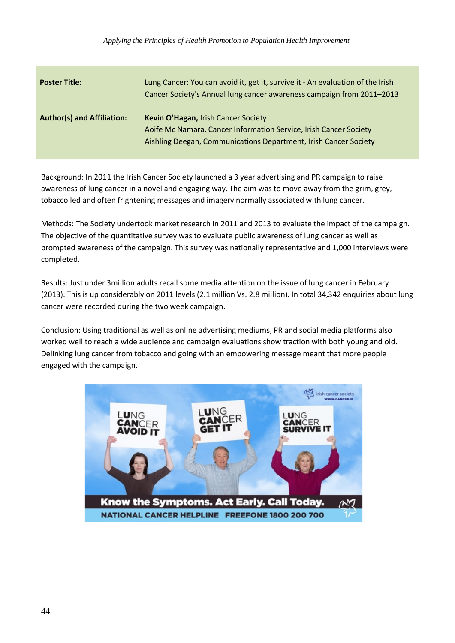| <b>Poster Title:</b>              | Lung Cancer: You can avoid it, get it, survive it - An evaluation of the Irish<br>Cancer Society's Annual lung cancer awareness campaign from 2011-2013                      |
|-----------------------------------|------------------------------------------------------------------------------------------------------------------------------------------------------------------------------|
| <b>Author(s) and Affiliation:</b> | Kevin O'Hagan, Irish Cancer Society<br>Aoife Mc Namara, Cancer Information Service, Irish Cancer Society<br>Aishling Deegan, Communications Department, Irish Cancer Society |

Background: In 2011 the Irish Cancer Society launched a 3 year advertising and PR campaign to raise awareness of lung cancer in a novel and engaging way. The aim was to move away from the grim, grey, tobacco led and often frightening messages and imagery normally associated with lung cancer.

Methods: The Society undertook market research in 2011 and 2013 to evaluate the impact of the campaign. The objective of the quantitative survey was to evaluate public awareness of lung cancer as well as prompted awareness of the campaign. This survey was nationally representative and 1,000 interviews were completed.

Results: Just under 3million adults recall some media attention on the issue of lung cancer in February (2013). This is up considerably on 2011 levels (2.1 million Vs. 2.8 million). In total 34,342 enquiries about lung cancer were recorded during the two week campaign.

Conclusion: Using traditional as well as online advertising mediums, PR and social media platforms also worked well to reach a wide audience and campaign evaluations show traction with both young and old. Delinking lung cancer from tobacco and going with an empowering message meant that more people engaged with the campaign.

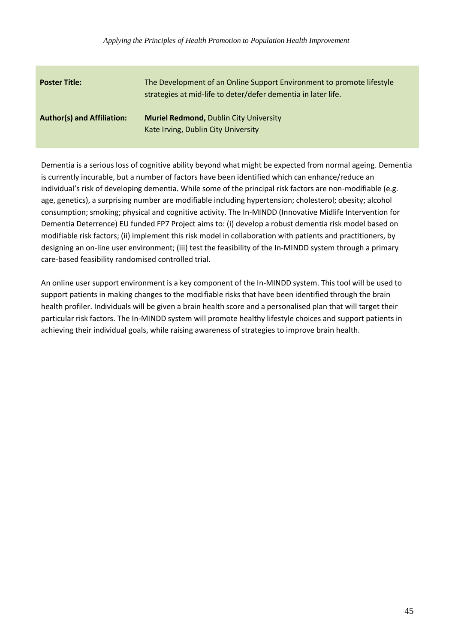| <b>Poster Title:</b>              | The Development of an Online Support Environment to promote lifestyle<br>strategies at mid-life to deter/defer dementia in later life. |
|-----------------------------------|----------------------------------------------------------------------------------------------------------------------------------------|
| <b>Author(s) and Affiliation:</b> | <b>Muriel Redmond, Dublin City University</b><br>Kate Irving, Dublin City University                                                   |

Dementia is a serious loss of cognitive ability beyond what might be expected from normal ageing. Dementia is currently incurable, but a number of factors have been identified which can enhance/reduce an individual's risk of developing dementia. While some of the principal risk factors are non-modifiable (e.g. age, genetics), a surprising number are modifiable including hypertension; cholesterol; obesity; alcohol consumption; smoking; physical and cognitive activity. The In-MINDD (Innovative Midlife Intervention for Dementia Deterrence) EU funded FP7 Project aims to: (i) develop a robust dementia risk model based on modifiable risk factors; (ii) implement this risk model in collaboration with patients and practitioners, by designing an on-line user environment; (iii) test the feasibility of the In-MINDD system through a primary care-based feasibility randomised controlled trial.

An online user support environment is a key component of the In-MINDD system. This tool will be used to support patients in making changes to the modifiable risks that have been identified through the brain health profiler. Individuals will be given a brain health score and a personalised plan that will target their particular risk factors. The In-MINDD system will promote healthy lifestyle choices and support patients in achieving their individual goals, while raising awareness of strategies to improve brain health.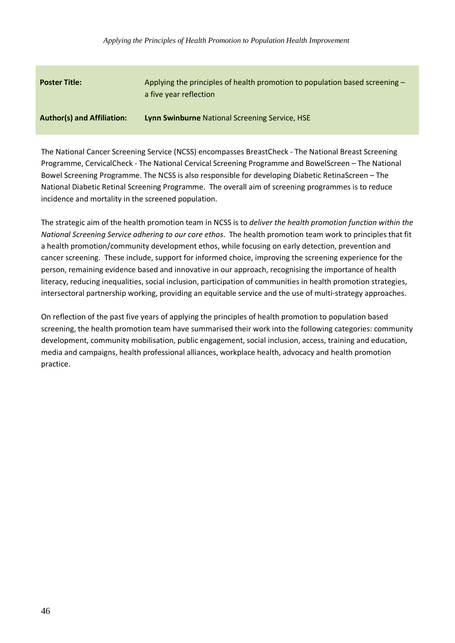| <b>Poster Title:</b>              | Applying the principles of health promotion to population based screening -<br>a five year reflection |
|-----------------------------------|-------------------------------------------------------------------------------------------------------|
| <b>Author(s) and Affiliation:</b> | Lynn Swinburne National Screening Service, HSE                                                        |

The National Cancer Screening Service (NCSS) encompasses BreastCheck - The National Breast Screening Programme, CervicalCheck - The National Cervical Screening Programme and BowelScreen – The National Bowel Screening Programme. The NCSS is also responsible for developing Diabetic RetinaScreen – The National Diabetic Retinal Screening Programme. The overall aim of screening programmes is to reduce incidence and mortality in the screened population.

The strategic aim of the health promotion team in NCSS is to *deliver the health promotion function within the National Screening Service adhering to our core ethos*. The health promotion team work to principles that fit a health promotion/community development ethos, while focusing on early detection, prevention and cancer screening. These include, support for informed choice, improving the screening experience for the person, remaining evidence based and innovative in our approach, recognising the importance of health literacy, reducing inequalities, social inclusion, participation of communities in health promotion strategies, intersectoral partnership working, providing an equitable service and the use of multi-strategy approaches.

On reflection of the past five years of applying the principles of health promotion to population based screening, the health promotion team have summarised their work into the following categories: community development, community mobilisation, public engagement, social inclusion, access, training and education, media and campaigns, health professional alliances, workplace health, advocacy and health promotion practice.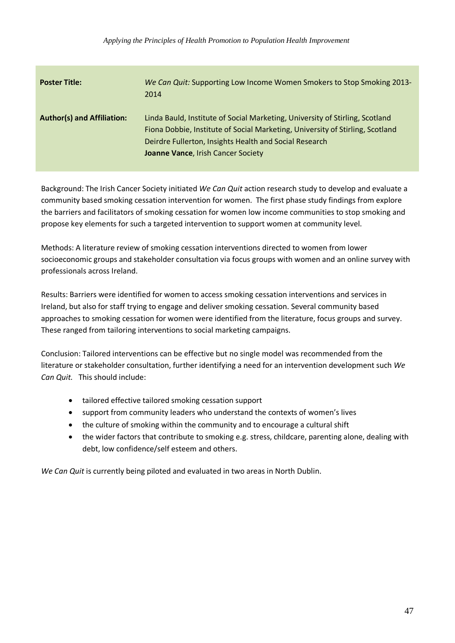| <b>Poster Title:</b>              | We Can Quit: Supporting Low Income Women Smokers to Stop Smoking 2013-<br>2014                                                                                                                                                                                |
|-----------------------------------|---------------------------------------------------------------------------------------------------------------------------------------------------------------------------------------------------------------------------------------------------------------|
| <b>Author(s) and Affiliation:</b> | Linda Bauld, Institute of Social Marketing, University of Stirling, Scotland<br>Fiona Dobbie, Institute of Social Marketing, University of Stirling, Scotland<br>Deirdre Fullerton, Insights Health and Social Research<br>Joanne Vance, Irish Cancer Society |

Background: The Irish Cancer Society initiated *We Can Quit* action research study to develop and evaluate a community based smoking cessation intervention for women. The first phase study findings from explore the barriers and facilitators of smoking cessation for women low income communities to stop smoking and propose key elements for such a targeted intervention to support women at community level.

Methods: A literature review of smoking cessation interventions directed to women from lower socioeconomic groups and stakeholder consultation via focus groups with women and an online survey with professionals across Ireland.

Results: Barriers were identified for women to access smoking cessation interventions and services in Ireland, but also for staff trying to engage and deliver smoking cessation. Several community based approaches to smoking cessation for women were identified from the literature, focus groups and survey. These ranged from tailoring interventions to social marketing campaigns.

Conclusion: Tailored interventions can be effective but no single model was recommended from the literature or stakeholder consultation, further identifying a need for an intervention development such *We Can Quit.* This should include:

- tailored effective tailored smoking cessation support
- support from community leaders who understand the contexts of women's lives
- the culture of smoking within the community and to encourage a cultural shift
- the wider factors that contribute to smoking e.g. stress, childcare, parenting alone, dealing with debt, low confidence/self esteem and others.

*We Can Quit* is currently being piloted and evaluated in two areas in North Dublin.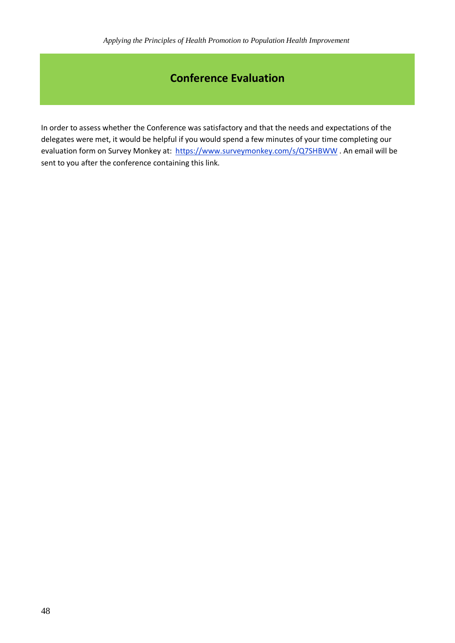## **Conference Evaluation**

In order to assess whether the Conference was satisfactory and that the needs and expectations of the delegates were met, it would be helpful if you would spend a few minutes of your time completing our evaluation form on Survey Monkey at: <https://www.surveymonkey.com/s/Q7SHBWW> . An email will be sent to you after the conference containing this link.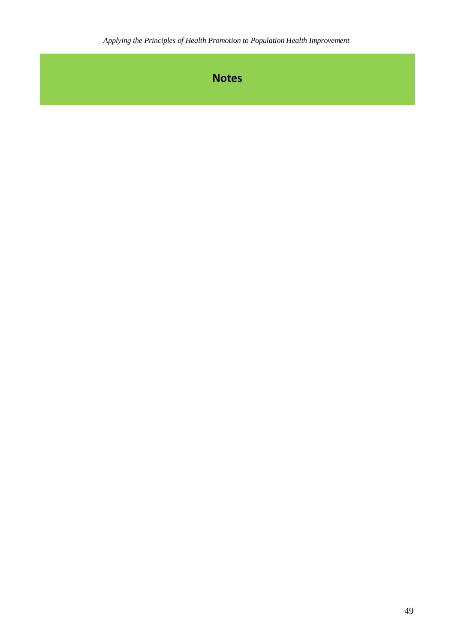**Notes**